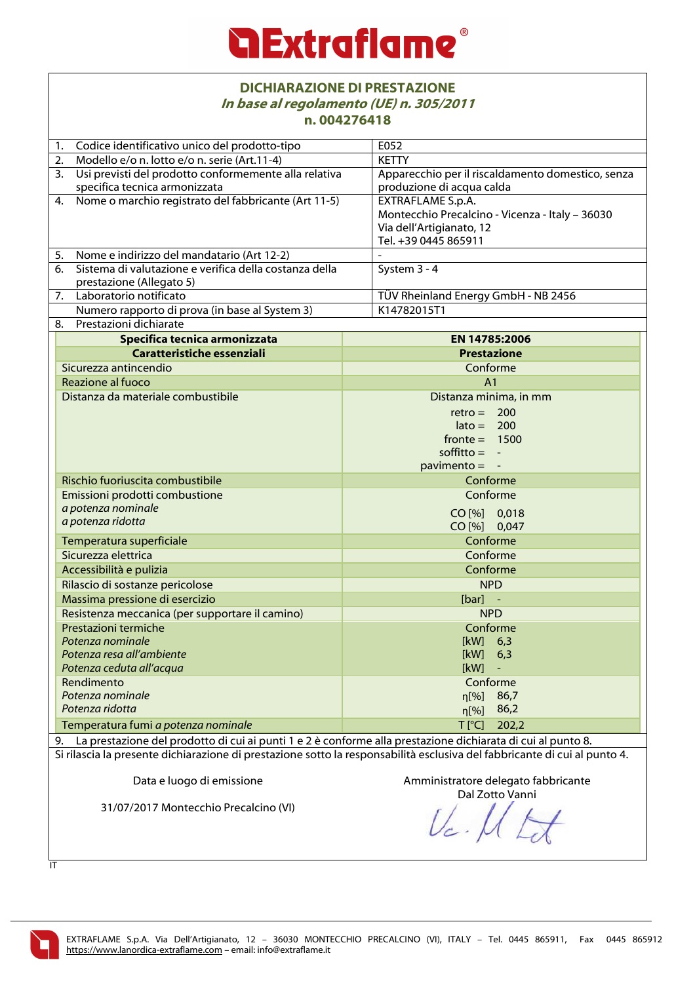| <b>DICHIARAZIONE DI PRESTAZIONE</b><br>In base al regolamento (UE) n. 305/2011                                            |                                                                                |  |  |
|---------------------------------------------------------------------------------------------------------------------------|--------------------------------------------------------------------------------|--|--|
| n.004276418                                                                                                               |                                                                                |  |  |
| Codice identificativo unico del prodotto-tipo<br>1.                                                                       | E052                                                                           |  |  |
| Modello e/o n. lotto e/o n. serie (Art.11-4)<br>2.                                                                        | <b>KETTY</b>                                                                   |  |  |
| 3. Usi previsti del prodotto conformemente alla relativa<br>specifica tecnica armonizzata                                 | Apparecchio per il riscaldamento domestico, senza<br>produzione di acqua calda |  |  |
| Nome o marchio registrato del fabbricante (Art 11-5)<br>4.                                                                | <b>EXTRAFLAME S.p.A.</b>                                                       |  |  |
|                                                                                                                           | Montecchio Precalcino - Vicenza - Italy - 36030<br>Via dell'Artigianato, 12    |  |  |
|                                                                                                                           | Tel. +39 0445 865911                                                           |  |  |
| Nome e indirizzo del mandatario (Art 12-2)<br>5.<br>Sistema di valutazione e verifica della costanza della<br>6.          | System 3 - 4                                                                   |  |  |
| prestazione (Allegato 5)                                                                                                  |                                                                                |  |  |
| Laboratorio notificato<br>7.                                                                                              | TÜV Rheinland Energy GmbH - NB 2456                                            |  |  |
| Numero rapporto di prova (in base al System 3)                                                                            | K14782015T1                                                                    |  |  |
| Prestazioni dichiarate<br>8.                                                                                              |                                                                                |  |  |
| Specifica tecnica armonizzata                                                                                             | EN 14785:2006                                                                  |  |  |
| Caratteristiche essenziali                                                                                                | <b>Prestazione</b>                                                             |  |  |
| Sicurezza antincendio                                                                                                     | Conforme                                                                       |  |  |
| Reazione al fuoco                                                                                                         | A <sub>1</sub>                                                                 |  |  |
| Distanza da materiale combustibile                                                                                        | Distanza minima, in mm                                                         |  |  |
|                                                                                                                           | $retro = 200$                                                                  |  |  |
|                                                                                                                           | $\text{late} = 200$                                                            |  |  |
|                                                                                                                           | $fronte = 1500$<br>soffitto $= -$                                              |  |  |
|                                                                                                                           | $pavimento = -$                                                                |  |  |
| Rischio fuoriuscita combustibile                                                                                          | Conforme                                                                       |  |  |
| Emissioni prodotti combustione                                                                                            | Conforme                                                                       |  |  |
| a potenza nominale                                                                                                        |                                                                                |  |  |
| a potenza ridotta                                                                                                         | CO [%] 0,018<br>CO [%] 0,047                                                   |  |  |
| Temperatura superficiale                                                                                                  | Conforme                                                                       |  |  |
| Sicurezza elettrica                                                                                                       | Conforme                                                                       |  |  |
| Accessibilità e pulizia                                                                                                   | Conforme                                                                       |  |  |
| Rilascio di sostanze pericolose                                                                                           | <b>NPD</b>                                                                     |  |  |
| Massima pressione di esercizio                                                                                            | $[bar]$ -                                                                      |  |  |
| Resistenza meccanica (per supportare il camino)                                                                           | <b>NPD</b>                                                                     |  |  |
| Prestazioni termiche                                                                                                      | Conforme                                                                       |  |  |
| Potenza nominale                                                                                                          | [kW]<br>6,3                                                                    |  |  |
| Potenza resa all'ambiente                                                                                                 | [kW]<br>6,3                                                                    |  |  |
| Potenza ceduta all'acqua<br>Rendimento                                                                                    | [kW]<br>Conforme                                                               |  |  |
| Potenza nominale                                                                                                          | 86,7<br>n[%]                                                                   |  |  |
| Potenza ridotta                                                                                                           | 86,2<br>$\eta$ [%]                                                             |  |  |
| Temperatura fumi a potenza nominale                                                                                       | $T$ [ $^{\circ}$ C]<br>202,2                                                   |  |  |
| 9. La prestazione del prodotto di cui ai punti 1 e 2 è conforme alla prestazione dichiarata di cui al punto 8.            |                                                                                |  |  |
| Si rilascia la presente dichiarazione di prestazione sotto la responsabilità esclusiva del fabbricante di cui al punto 4. |                                                                                |  |  |
| Data e luogo di emissione                                                                                                 | Amministratore delegato fabbricante                                            |  |  |
| 31/07/2017 Montecchio Precalcino (VI)                                                                                     | Dal Zotto Vanni                                                                |  |  |
|                                                                                                                           |                                                                                |  |  |

 $\frac{1}{11}$ 

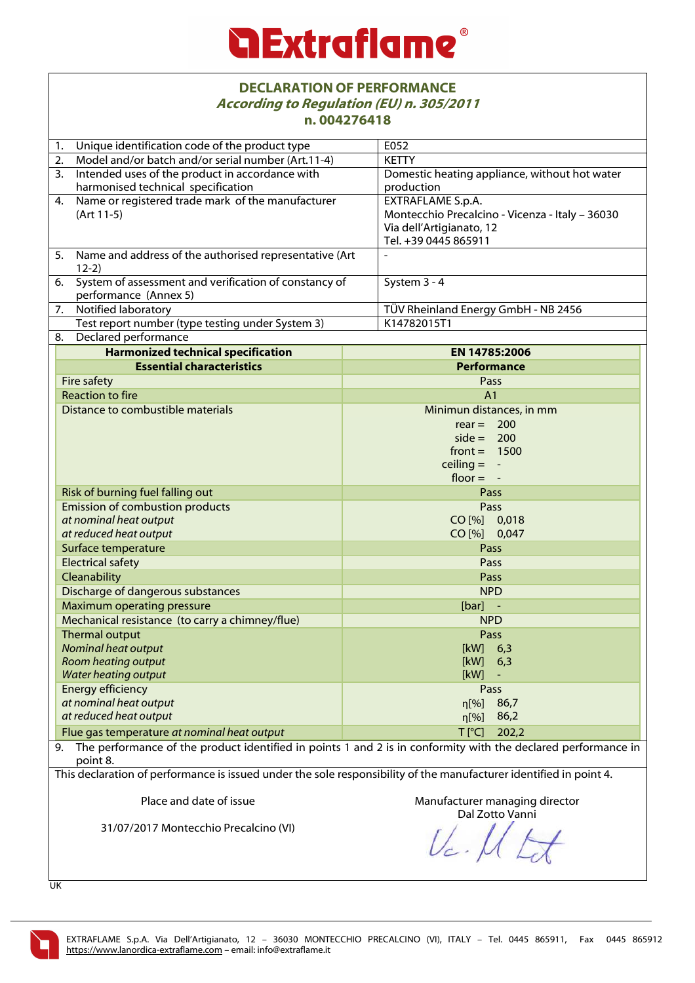## *<u>a Extraflame®</u>*

#### **DECLARATION OF PERFORMANCE According to Regulation (EU) n. 305/2011 n. 004276418**

| II. UUTZ/ UT I 0                                                                                                   |                                                                                                               |  |
|--------------------------------------------------------------------------------------------------------------------|---------------------------------------------------------------------------------------------------------------|--|
| Unique identification code of the product type<br>1.                                                               | E052                                                                                                          |  |
| Model and/or batch and/or serial number (Art.11-4)<br>2.                                                           | <b>KETTY</b>                                                                                                  |  |
| Intended uses of the product in accordance with<br>3.                                                              | Domestic heating appliance, without hot water                                                                 |  |
| harmonised technical specification                                                                                 | production                                                                                                    |  |
| Name or registered trade mark of the manufacturer<br>4.                                                            | <b>EXTRAFLAME S.p.A.</b>                                                                                      |  |
| $(Art 11-5)$                                                                                                       | Montecchio Precalcino - Vicenza - Italy - 36030                                                               |  |
|                                                                                                                    | Via dell'Artigianato, 12                                                                                      |  |
|                                                                                                                    | Tel. +39 0445 865911                                                                                          |  |
| Name and address of the authorised representative (Art<br>5.<br>$12-2)$                                            |                                                                                                               |  |
| System of assessment and verification of constancy of<br>6.<br>performance (Annex 5)                               | System 3 - 4                                                                                                  |  |
| Notified laboratory<br>7.                                                                                          | TÜV Rheinland Energy GmbH - NB 2456                                                                           |  |
| Test report number (type testing under System 3)                                                                   | K14782015T1                                                                                                   |  |
| Declared performance<br>8.                                                                                         |                                                                                                               |  |
| <b>Harmonized technical specification</b>                                                                          | EN 14785:2006                                                                                                 |  |
| <b>Essential characteristics</b>                                                                                   | <b>Performance</b>                                                                                            |  |
| Fire safety                                                                                                        | Pass                                                                                                          |  |
| <b>Reaction to fire</b>                                                                                            | A <sub>1</sub>                                                                                                |  |
| Distance to combustible materials                                                                                  | Minimun distances, in mm                                                                                      |  |
|                                                                                                                    | $rear =$<br>200                                                                                               |  |
|                                                                                                                    | $side = 200$                                                                                                  |  |
|                                                                                                                    | $front = 1500$                                                                                                |  |
|                                                                                                                    | ceiling $= -$                                                                                                 |  |
|                                                                                                                    | floor $= -$                                                                                                   |  |
| Risk of burning fuel falling out                                                                                   | Pass                                                                                                          |  |
| Emission of combustion products                                                                                    | <b>Pass</b>                                                                                                   |  |
| at nominal heat output                                                                                             | CO [%] 0,018                                                                                                  |  |
| at reduced heat output                                                                                             | CO [%] 0,047                                                                                                  |  |
| Surface temperature                                                                                                | Pass                                                                                                          |  |
| <b>Electrical safety</b>                                                                                           | Pass                                                                                                          |  |
| Cleanability                                                                                                       | Pass                                                                                                          |  |
| Discharge of dangerous substances                                                                                  | <b>NPD</b>                                                                                                    |  |
| Maximum operating pressure                                                                                         | $[bar]$ -                                                                                                     |  |
| Mechanical resistance (to carry a chimney/flue)                                                                    | <b>NPD</b>                                                                                                    |  |
| Thermal output                                                                                                     | Pass                                                                                                          |  |
| Nominal heat output                                                                                                | [kW]<br>6,3                                                                                                   |  |
| Room heating output                                                                                                | [kW]<br>6,3                                                                                                   |  |
| <b>Water heating output</b>                                                                                        | [kW]                                                                                                          |  |
| <b>Energy efficiency</b>                                                                                           | Pass                                                                                                          |  |
| at nominal heat output                                                                                             | $\eta$ [%]<br>86,7                                                                                            |  |
| at reduced heat output                                                                                             | 86,2<br>$\eta$ [%]                                                                                            |  |
| Flue gas temperature at nominal heat output                                                                        | $T$ [ $^{\circ}$ C]<br>202,2                                                                                  |  |
| 9.<br>point 8.                                                                                                     | The performance of the product identified in points 1 and 2 is in conformity with the declared performance in |  |
| This declaration of performance is issued under the sole responsibility of the manufacturer identified in point 4. |                                                                                                               |  |
| Place and date of issue                                                                                            | Manufacturer managing director<br>Dal Zotto Vanni                                                             |  |
| 31/07/2017 Montecchio Precalcino (VI)                                                                              |                                                                                                               |  |

UK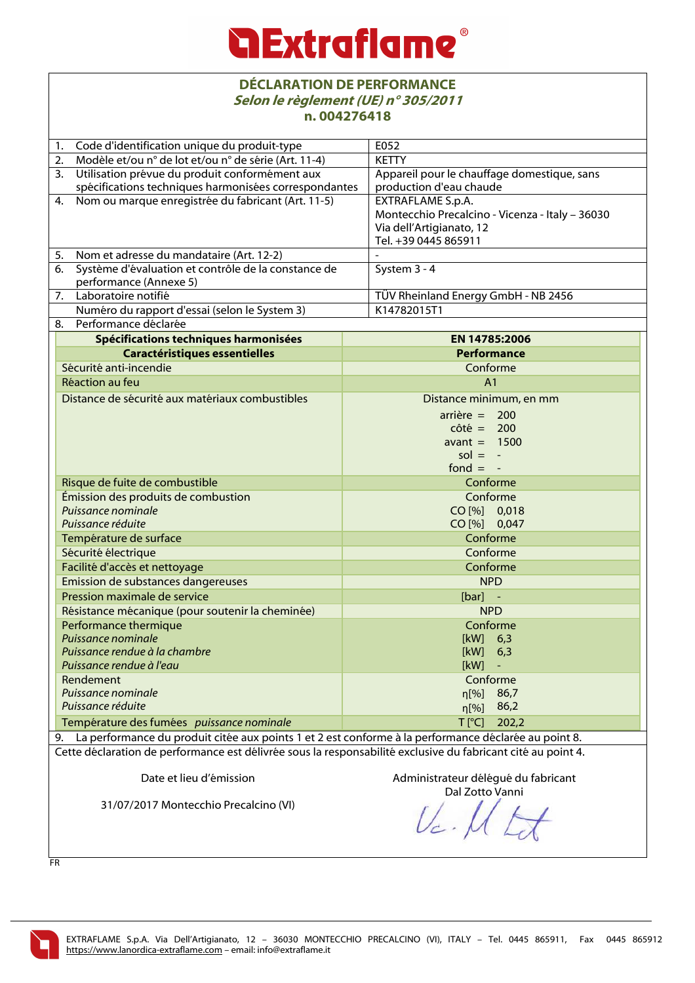#### **DÉCLARATION DE PERFORMANCE Selon le règlement (UE) n° 305/2011 n. 004276418**

| Code d'identification unique du produit-type<br>1.                                                           | E052                                            |  |
|--------------------------------------------------------------------------------------------------------------|-------------------------------------------------|--|
| Modèle et/ou n° de lot et/ou n° de série (Art. 11-4)<br>2.                                                   | <b>KETTY</b>                                    |  |
| Utilisation prévue du produit conformément aux<br>3.                                                         | Appareil pour le chauffage domestique, sans     |  |
| spécifications techniques harmonisées correspondantes                                                        | production d'eau chaude                         |  |
| Nom ou marque enregistrée du fabricant (Art. 11-5)<br>4.                                                     | EXTRAFLAME S.p.A.                               |  |
|                                                                                                              | Montecchio Precalcino - Vicenza - Italy - 36030 |  |
|                                                                                                              | Via dell'Artigianato, 12                        |  |
|                                                                                                              | Tel. +39 0445 865911                            |  |
| Nom et adresse du mandataire (Art. 12-2)<br>5.<br>Système d'évaluation et contrôle de la constance de<br>6.  | System 3 - 4                                    |  |
| performance (Annexe 5)                                                                                       |                                                 |  |
| Laboratoire notifié<br>7.                                                                                    | TÜV Rheinland Energy GmbH - NB 2456             |  |
| Numéro du rapport d'essai (selon le System 3)                                                                | K14782015T1                                     |  |
| Performance déclarée<br>8.                                                                                   |                                                 |  |
| Spécifications techniques harmonisées                                                                        | EN 14785:2006                                   |  |
| <b>Caractéristiques essentielles</b>                                                                         | <b>Performance</b>                              |  |
| Sécurité anti-incendie                                                                                       | Conforme                                        |  |
| Réaction au feu                                                                                              | A <sub>1</sub>                                  |  |
| Distance de sécurité aux matériaux combustibles                                                              | Distance minimum, en mm                         |  |
|                                                                                                              | $arrière = 200$                                 |  |
|                                                                                                              | $côte = 200$                                    |  |
|                                                                                                              | avant $= 1500$                                  |  |
|                                                                                                              | $sol = -$                                       |  |
|                                                                                                              | fond $= -$                                      |  |
| Risque de fuite de combustible                                                                               | Conforme                                        |  |
| Émission des produits de combustion                                                                          | Conforme                                        |  |
| Puissance nominale                                                                                           | CO [%] 0,018                                    |  |
| Puissance réduite                                                                                            | CO [%] 0,047                                    |  |
| Température de surface                                                                                       | Conforme                                        |  |
| Sécurité électrique                                                                                          | Conforme<br>Conforme                            |  |
| Facilité d'accès et nettoyage                                                                                |                                                 |  |
| Emission de substances dangereuses                                                                           | <b>NPD</b>                                      |  |
| Pression maximale de service                                                                                 | $[bar]$ -                                       |  |
| Résistance mécanique (pour soutenir la cheminée)<br>Performance thermique                                    | <b>NPD</b><br>Conforme                          |  |
| Puissance nominale                                                                                           | $[kW]$ 6,3                                      |  |
| Puissance rendue à la chambre                                                                                | [kW]<br>6,3                                     |  |
| Puissance rendue à l'eau                                                                                     | [kW]                                            |  |
| Rendement                                                                                                    | Conforme                                        |  |
| Puissance nominale                                                                                           | 86,7<br>n[%]                                    |  |
| Puissance réduite                                                                                            | 86,2<br>$\eta$ [%]                              |  |
| Température des fumées puissance nominale                                                                    | $T$ [ $^{\circ}$ C]<br>202,2                    |  |
| 9. La performance du produit citée aux points 1 et 2 est conforme à la performance déclarée au point 8.      |                                                 |  |
| Cette déclaration de performance est délivrée sous la responsabilité exclusive du fabricant cité au point 4. |                                                 |  |
|                                                                                                              |                                                 |  |
| Date et lieu d'émission                                                                                      | Administrateur délégué du fabricant             |  |
| 31/07/2017 Montecchio Precalcino (VI)                                                                        | Dal Zotto Vanni                                 |  |
|                                                                                                              |                                                 |  |
|                                                                                                              |                                                 |  |

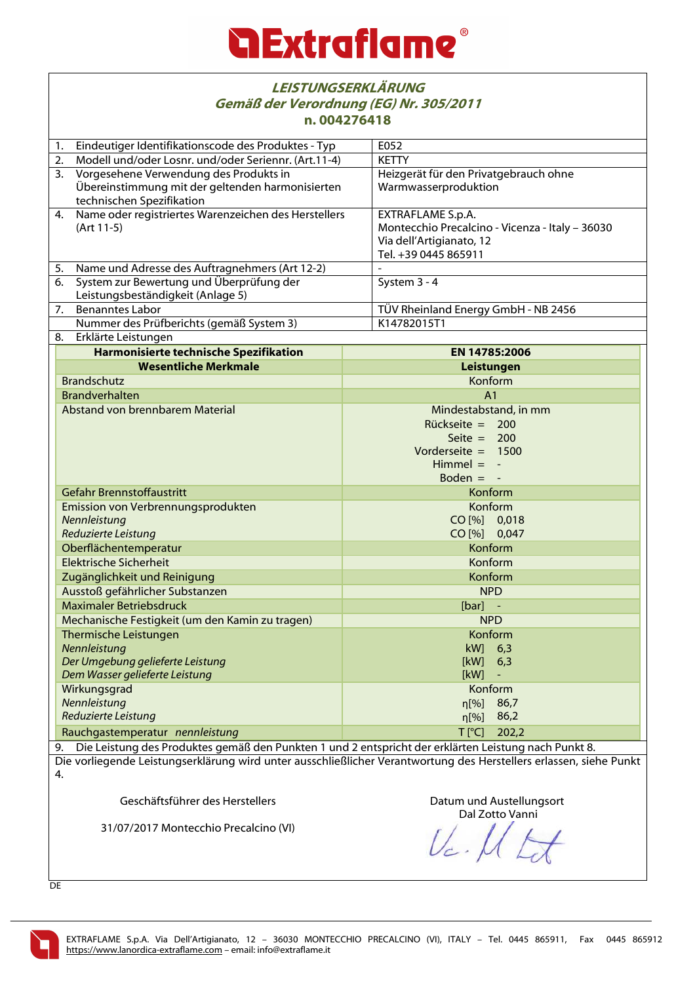| <b>LEISTUNGSERKLÄRUNG</b><br>Gemäß der Verordnung (EG) Nr. 305/2011<br>n.004276418                                 |                                                                                                                         |                                                                                                                          |  |  |
|--------------------------------------------------------------------------------------------------------------------|-------------------------------------------------------------------------------------------------------------------------|--------------------------------------------------------------------------------------------------------------------------|--|--|
| Eindeutiger Identifikationscode des Produktes - Typ<br>1.                                                          |                                                                                                                         | E052                                                                                                                     |  |  |
| 2.                                                                                                                 | Modell und/oder Losnr. und/oder Seriennr. (Art.11-4)                                                                    | <b>KETTY</b>                                                                                                             |  |  |
| 3.                                                                                                                 | Vorgesehene Verwendung des Produkts in<br>Übereinstimmung mit der geltenden harmonisierten<br>technischen Spezifikation | Heizgerät für den Privatgebrauch ohne<br>Warmwasserproduktion                                                            |  |  |
| Name oder registriertes Warenzeichen des Herstellers<br>4.<br>(Art 11-5)                                           |                                                                                                                         | EXTRAFLAME S.p.A.<br>Montecchio Precalcino - Vicenza - Italy - 36030<br>Via dell'Artigianato, 12<br>Tel. +39 0445 865911 |  |  |
| 5.                                                                                                                 | Name und Adresse des Auftragnehmers (Art 12-2)                                                                          |                                                                                                                          |  |  |
| 6.                                                                                                                 | System zur Bewertung und Überprüfung der<br>Leistungsbeständigkeit (Anlage 5)                                           | System 3 - 4                                                                                                             |  |  |
| 7.                                                                                                                 | <b>Benanntes Labor</b>                                                                                                  | TÜV Rheinland Energy GmbH - NB 2456                                                                                      |  |  |
|                                                                                                                    | Nummer des Prüfberichts (gemäß System 3)                                                                                | K14782015T1                                                                                                              |  |  |
| 8.                                                                                                                 | Erklärte Leistungen                                                                                                     |                                                                                                                          |  |  |
|                                                                                                                    | Harmonisierte technische Spezifikation                                                                                  | EN 14785:2006                                                                                                            |  |  |
|                                                                                                                    | <b>Wesentliche Merkmale</b>                                                                                             | Leistungen                                                                                                               |  |  |
|                                                                                                                    | <b>Brandschutz</b>                                                                                                      | Konform                                                                                                                  |  |  |
|                                                                                                                    | <b>Brandverhalten</b>                                                                                                   | A <sub>1</sub>                                                                                                           |  |  |
| Abstand von brennbarem Material                                                                                    |                                                                                                                         | Mindestabstand, in mm<br>Rückseite = $200$<br>Seite $= 200$<br>Vorderseite $= 1500$<br>Himmel $= -$<br>Boden $= -$       |  |  |
|                                                                                                                    | Gefahr Brennstoffaustritt                                                                                               | Konform                                                                                                                  |  |  |
|                                                                                                                    | Emission von Verbrennungsprodukten<br>Nennleistung<br>Reduzierte Leistung                                               | Konform<br>CO [%] 0,018<br>CO [%] 0,047                                                                                  |  |  |
|                                                                                                                    | Oberflächentemperatur                                                                                                   | Konform<br>Konform                                                                                                       |  |  |
|                                                                                                                    | <b>Elektrische Sicherheit</b>                                                                                           |                                                                                                                          |  |  |
|                                                                                                                    | Zugänglichkeit und Reinigung                                                                                            | Konform                                                                                                                  |  |  |
|                                                                                                                    | Ausstoß gefährlicher Substanzen                                                                                         | <b>NPD</b>                                                                                                               |  |  |
|                                                                                                                    | <b>Maximaler Betriebsdruck</b>                                                                                          | $[bar]$ -                                                                                                                |  |  |
|                                                                                                                    | Mechanische Festigkeit (um den Kamin zu tragen)                                                                         | <b>NPD</b>                                                                                                               |  |  |
| Thermische Leistungen<br>Nennleistung                                                                              |                                                                                                                         | Konform<br>kW]<br>6,3                                                                                                    |  |  |
| Der Umgebung gelieferte Leistung                                                                                   |                                                                                                                         | [kW]<br>6,3                                                                                                              |  |  |
| Dem Wasser gelieferte Leistung                                                                                     |                                                                                                                         | [kW]                                                                                                                     |  |  |
|                                                                                                                    | Wirkungsgrad                                                                                                            | Konform                                                                                                                  |  |  |
|                                                                                                                    | Nennleistung                                                                                                            | 86,7<br>$\eta$ [%]                                                                                                       |  |  |
|                                                                                                                    | Reduzierte Leistung                                                                                                     | 86,2<br>$\eta$ [%]                                                                                                       |  |  |
|                                                                                                                    | Rauchgastemperatur nennleistung                                                                                         | $T$ [ $^{\circ}$ C]<br>202,2                                                                                             |  |  |
| Die Leistung des Produktes gemäß den Punkten 1 und 2 entspricht der erklärten Leistung nach Punkt 8.<br>9.         |                                                                                                                         |                                                                                                                          |  |  |
| Die vorliegende Leistungserklärung wird unter ausschließlicher Verantwortung des Herstellers erlassen, siehe Punkt |                                                                                                                         |                                                                                                                          |  |  |
| 4.                                                                                                                 |                                                                                                                         |                                                                                                                          |  |  |

Geschäftsführer des Herstellers

31/07/2017 Montecchio Precalcino (VI)

Datum und Austellungsort Dal Zotto Vanni

 $\mathcal{U}_c$ . Í

DE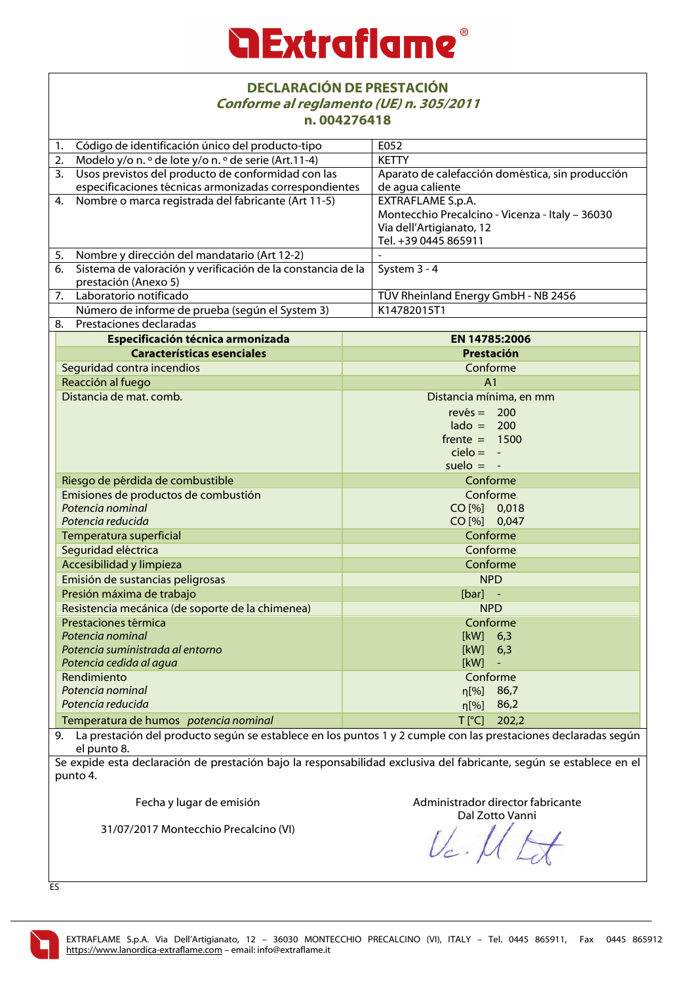### **Extraflame**

#### **DECLARACIÓN DE PRESTACIÓN Conforme al reglamento (UE) n. 305/2011 n. 004276418**

|                                                                                                                   | II. UUTZ/ UT I 0                                                                                                                                                                                        |  |                                                  |  |  |
|-------------------------------------------------------------------------------------------------------------------|---------------------------------------------------------------------------------------------------------------------------------------------------------------------------------------------------------|--|--------------------------------------------------|--|--|
| 1.                                                                                                                | Código de identificación único del producto-tipo                                                                                                                                                        |  | E052                                             |  |  |
| 2.                                                                                                                | Modelo y/o n. º de lote y/o n. º de serie (Art.11-4)                                                                                                                                                    |  | <b>KETTY</b>                                     |  |  |
| 3.                                                                                                                | Usos previstos del producto de conformidad con las                                                                                                                                                      |  | Aparato de calefacción doméstica, sin producción |  |  |
|                                                                                                                   | especificaciones técnicas armonizadas correspondientes                                                                                                                                                  |  | de agua caliente                                 |  |  |
| 4.                                                                                                                | Nombre o marca registrada del fabricante (Art 11-5)                                                                                                                                                     |  | <b>EXTRAFLAME S.p.A.</b>                         |  |  |
|                                                                                                                   |                                                                                                                                                                                                         |  | Montecchio Precalcino - Vicenza - Italy - 36030  |  |  |
|                                                                                                                   |                                                                                                                                                                                                         |  | Via dell'Artigianato, 12                         |  |  |
|                                                                                                                   |                                                                                                                                                                                                         |  | Tel. +39 0445 865911                             |  |  |
| 5.                                                                                                                | Nombre y dirección del mandatario (Art 12-2)                                                                                                                                                            |  |                                                  |  |  |
| 6.                                                                                                                | Sistema de valoración y verificación de la constancia de la                                                                                                                                             |  | System 3 - 4                                     |  |  |
|                                                                                                                   | prestación (Anexo 5)                                                                                                                                                                                    |  |                                                  |  |  |
|                                                                                                                   | 7. Laboratorio notificado                                                                                                                                                                               |  | TÜV Rheinland Energy GmbH - NB 2456              |  |  |
|                                                                                                                   | Número de informe de prueba (según el System 3)                                                                                                                                                         |  | K14782015T1                                      |  |  |
| 8.                                                                                                                | Prestaciones declaradas                                                                                                                                                                                 |  |                                                  |  |  |
|                                                                                                                   | Especificación técnica armonizada                                                                                                                                                                       |  | <b>EN 14785:2006</b>                             |  |  |
|                                                                                                                   | <b>Características esenciales</b>                                                                                                                                                                       |  | Prestación                                       |  |  |
|                                                                                                                   | Seguridad contra incendios                                                                                                                                                                              |  | Conforme                                         |  |  |
|                                                                                                                   | Reacción al fuego                                                                                                                                                                                       |  | A <sub>1</sub>                                   |  |  |
|                                                                                                                   | Distancia de mat. comb.                                                                                                                                                                                 |  | Distancia mínima, en mm                          |  |  |
|                                                                                                                   |                                                                                                                                                                                                         |  | $rev\acute{e}s = 200$                            |  |  |
|                                                                                                                   |                                                                                                                                                                                                         |  | $\text{lado} = 200$                              |  |  |
|                                                                                                                   |                                                                                                                                                                                                         |  | $f$ rente = 1500                                 |  |  |
|                                                                                                                   |                                                                                                                                                                                                         |  | $cielo = -$                                      |  |  |
|                                                                                                                   |                                                                                                                                                                                                         |  | suelo $= -$                                      |  |  |
|                                                                                                                   | Riesgo de pérdida de combustible                                                                                                                                                                        |  | Conforme                                         |  |  |
|                                                                                                                   | Emisiones de productos de combustión                                                                                                                                                                    |  | Conforme                                         |  |  |
| Potencia nominal                                                                                                  |                                                                                                                                                                                                         |  | CO [%] 0,018                                     |  |  |
|                                                                                                                   | Potencia reducida<br>Temperatura superficial                                                                                                                                                            |  | CO [%] 0,047                                     |  |  |
|                                                                                                                   |                                                                                                                                                                                                         |  | Conforme                                         |  |  |
|                                                                                                                   | Seguridad eléctrica                                                                                                                                                                                     |  | Conforme                                         |  |  |
|                                                                                                                   | Accesibilidad y limpieza                                                                                                                                                                                |  | Conforme                                         |  |  |
|                                                                                                                   | Emisión de sustancias peligrosas                                                                                                                                                                        |  | <b>NPD</b>                                       |  |  |
|                                                                                                                   |                                                                                                                                                                                                         |  | $[bar]$ -                                        |  |  |
|                                                                                                                   | Presión máxima de trabajo<br>Resistencia mecánica (de soporte de la chimenea)<br>Prestaciones térmica<br>Potencia nominal<br>Potencia suministrada al entorno<br>Potencia cedida al agua<br>Rendimiento |  | <b>NPD</b>                                       |  |  |
|                                                                                                                   |                                                                                                                                                                                                         |  | Conforme                                         |  |  |
|                                                                                                                   |                                                                                                                                                                                                         |  |                                                  |  |  |
|                                                                                                                   |                                                                                                                                                                                                         |  | $[kW]$ 6,3                                       |  |  |
|                                                                                                                   |                                                                                                                                                                                                         |  | [kW]<br>6,3<br>[kW]                              |  |  |
|                                                                                                                   |                                                                                                                                                                                                         |  |                                                  |  |  |
|                                                                                                                   |                                                                                                                                                                                                         |  | Conforme                                         |  |  |
|                                                                                                                   | Potencia nominal                                                                                                                                                                                        |  | 86,7<br>n[%]                                     |  |  |
|                                                                                                                   | Potencia reducida                                                                                                                                                                                       |  | 86,2<br>n[%]                                     |  |  |
|                                                                                                                   | Temperatura de humos potencia nominal                                                                                                                                                                   |  | $T$ [ $^{\circ}$ C]<br>202,2                     |  |  |
| 9. La prestación del producto según se establece en los puntos 1 y 2 cumple con las prestaciones declaradas según |                                                                                                                                                                                                         |  |                                                  |  |  |
| el punto 8.                                                                                                       |                                                                                                                                                                                                         |  |                                                  |  |  |
|                                                                                                                   | Se expide esta declaración de prestación bajo la responsabilidad exclusiva del fabricante, según se establece en el                                                                                     |  |                                                  |  |  |

declaración de prestación bajo la responsabilidad exclusiva del fabricante, según se establece en el punto 4.

Fecha y lugar de emisión

Administrador director fabricante

31/07/2017 Montecchio Precalcino (VI)

Dal Zotto Vanni



ES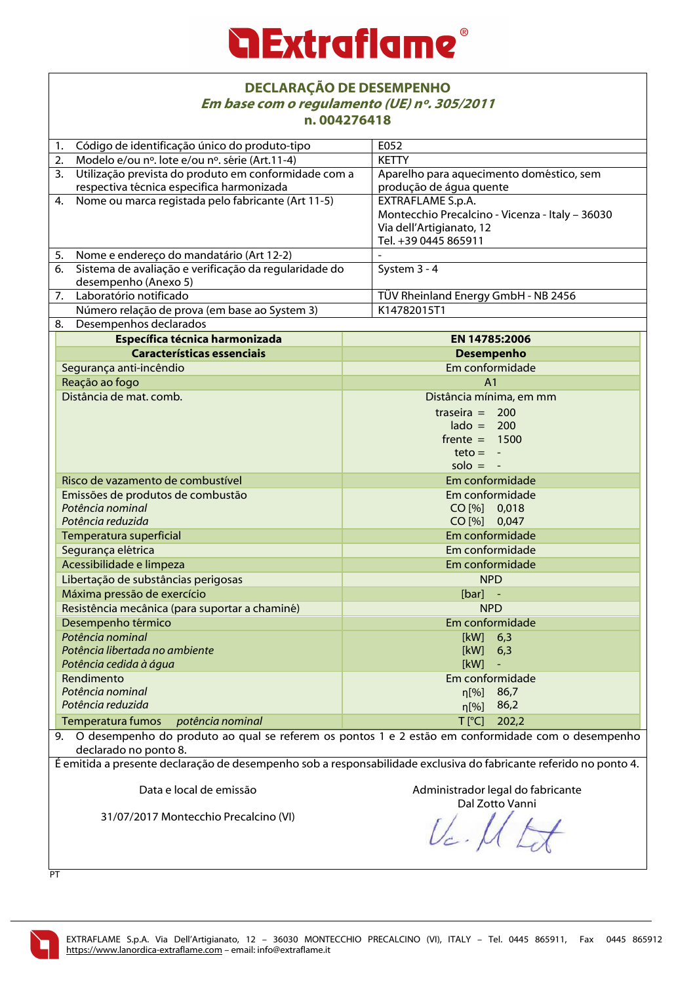### *<u>a Extraflame®</u>*

#### **DECLARAÇÃO DE DESEMPENHO Em base com o regulamento (UE) nº. 305/2011 n. 004276418**

| 11. VV4Z/04 I 0                                             |                                                                                                                   |  |
|-------------------------------------------------------------|-------------------------------------------------------------------------------------------------------------------|--|
| Código de identificação único do produto-tipo<br>1.         | E052                                                                                                              |  |
| Modelo e/ou nº. lote e/ou nº. série (Art.11-4)<br>2.        | <b>KETTY</b>                                                                                                      |  |
| 3.<br>Utilização prevista do produto em conformidade com a  | Aparelho para aquecimento doméstico, sem                                                                          |  |
| respectiva técnica especifica harmonizada                   | produção de água quente                                                                                           |  |
| Nome ou marca registada pelo fabricante (Art 11-5)<br>4.    | EXTRAFLAME S.p.A.                                                                                                 |  |
|                                                             | Montecchio Precalcino - Vicenza - Italy - 36030                                                                   |  |
|                                                             | Via dell'Artigianato, 12                                                                                          |  |
|                                                             | Tel. +39 0445 865911                                                                                              |  |
| Nome e endereço do mandatário (Art 12-2)<br>5.              |                                                                                                                   |  |
| Sistema de avaliação e verificação da regularidade do<br>6. | System 3 - 4                                                                                                      |  |
| desempenho (Anexo 5)                                        |                                                                                                                   |  |
| Laboratório notificado<br>7.                                | TÜV Rheinland Energy GmbH - NB 2456                                                                               |  |
| Número relação de prova (em base ao System 3)               | K14782015T1                                                                                                       |  |
| 8. Desempenhos declarados                                   |                                                                                                                   |  |
| Específica técnica harmonizada                              | EN 14785:2006                                                                                                     |  |
| <b>Características essenciais</b>                           | <b>Desempenho</b>                                                                                                 |  |
| Segurança anti-incêndio                                     | Em conformidade                                                                                                   |  |
| Reação ao fogo                                              | A <sub>1</sub>                                                                                                    |  |
| Distância de mat. comb.                                     | Distância mínima, em mm                                                                                           |  |
|                                                             | traseira = $200$                                                                                                  |  |
|                                                             | $\text{lado} = 200$                                                                                               |  |
|                                                             | $f$ rente = 1500                                                                                                  |  |
|                                                             | $teto = -$                                                                                                        |  |
|                                                             | $solo = -$                                                                                                        |  |
| Risco de vazamento de combustível                           | Em conformidade                                                                                                   |  |
|                                                             | Em conformidade                                                                                                   |  |
| Emissões de produtos de combustão<br>Potência nominal       | CO [%] 0,018                                                                                                      |  |
| Potência reduzida                                           | CO [%] 0,047                                                                                                      |  |
| Temperatura superficial                                     | Em conformidade                                                                                                   |  |
| Segurança elétrica                                          | Em conformidade                                                                                                   |  |
| Acessibilidade e limpeza                                    | Em conformidade                                                                                                   |  |
|                                                             | <b>NPD</b>                                                                                                        |  |
| Libertação de substâncias perigosas                         | $[bar]$ -                                                                                                         |  |
| Máxima pressão de exercício                                 |                                                                                                                   |  |
| Resistência mecânica (para suportar a chaminé)              | <b>NPD</b>                                                                                                        |  |
| Desempenho térmico                                          | Em conformidade                                                                                                   |  |
| Potência nominal                                            | $[kW]$ 6,3                                                                                                        |  |
| Potência libertada no ambiente                              | [kW]<br>6,3                                                                                                       |  |
| Potência cedida à água                                      | [kW]                                                                                                              |  |
| Rendimento                                                  | Em conformidade                                                                                                   |  |
| Potência nominal                                            | 86,7<br>$\eta$ [%]                                                                                                |  |
| Potência reduzida                                           | 86,2<br>$\eta$ [%]                                                                                                |  |
| Temperatura fumos<br>potência nominal                       | $T$ [ $^{\circ}$ C]<br>202,2                                                                                      |  |
| declarado no ponto 8.                                       | 9. O desempenho do produto ao qual se referem os pontos 1 e 2 estão em conformidade com o desempenho              |  |
|                                                             | É emitida a presente declaração de desempenho sob a responsabilidade exclusiva do fabricante referido no ponto 4. |  |
| Data e local de emissão                                     | Administrador legal do fabricante<br>Dal Zotto Vanni                                                              |  |
| 31/07/2017 Montecchio Precalcino (VI)                       |                                                                                                                   |  |
|                                                             |                                                                                                                   |  |

**PT**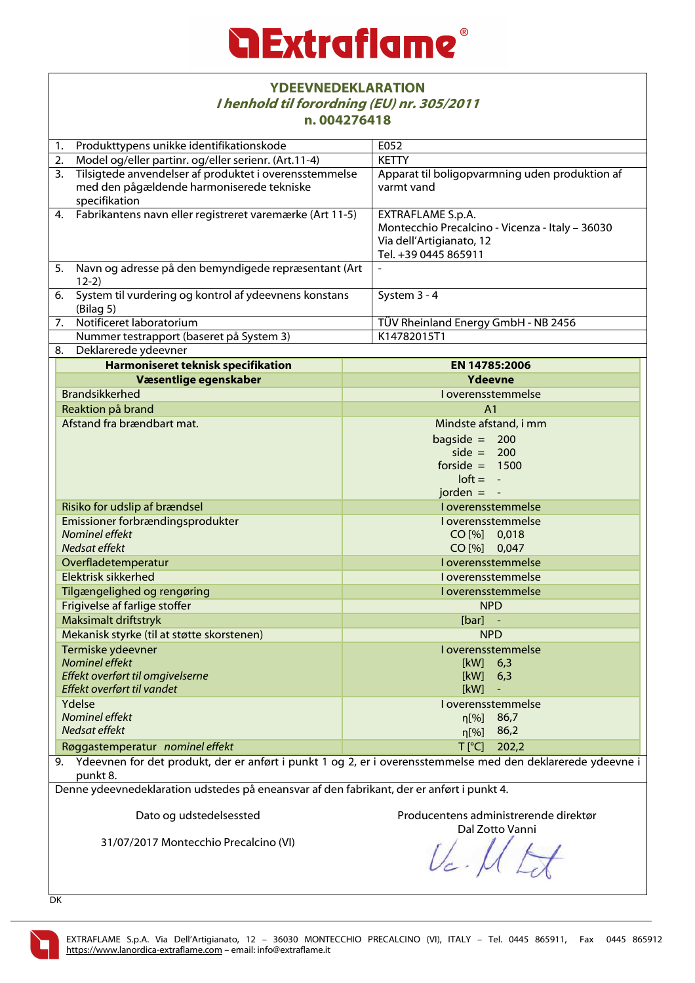

| <b>YDEEVNEDEKLARATION</b><br>I henhold til forordning (EU) nr. 305/2011<br>n.004276418                                                                                                                                 |                                                                                                                                 |  |
|------------------------------------------------------------------------------------------------------------------------------------------------------------------------------------------------------------------------|---------------------------------------------------------------------------------------------------------------------------------|--|
| Produkttypens unikke identifikationskode<br>1.                                                                                                                                                                         | E052                                                                                                                            |  |
| Model og/eller partinr. og/eller serienr. (Art.11-4)<br>2.                                                                                                                                                             | <b>KETTY</b>                                                                                                                    |  |
| 3.<br>Tilsigtede anvendelser af produktet i overensstemmelse                                                                                                                                                           | Apparat til boligopvarmning uden produktion af                                                                                  |  |
| med den pågældende harmoniserede tekniske<br>specifikation                                                                                                                                                             | varmt vand                                                                                                                      |  |
| Fabrikantens navn eller registreret varemærke (Art 11-5)<br>4.                                                                                                                                                         | <b>EXTRAFLAME S.p.A.</b><br>Montecchio Precalcino - Vicenza - Italy - 36030<br>Via dell'Artigianato, 12<br>Tel. +39 0445 865911 |  |
| 5.<br>Navn og adresse på den bemyndigede repræsentant (Art<br>$12-2)$                                                                                                                                                  |                                                                                                                                 |  |
| $\overline{6}$ .<br>System til vurdering og kontrol af ydeevnens konstans<br>(Bilag 5)                                                                                                                                 | System 3 - 4                                                                                                                    |  |
| $\overline{7.}$<br>Notificeret laboratorium                                                                                                                                                                            | TÜV Rheinland Energy GmbH - NB 2456                                                                                             |  |
| Nummer testrapport (baseret på System 3)                                                                                                                                                                               | K14782015T1                                                                                                                     |  |
| 8. Deklarerede ydeevner                                                                                                                                                                                                |                                                                                                                                 |  |
| Harmoniseret teknisk specifikation                                                                                                                                                                                     | EN 14785:2006                                                                                                                   |  |
| Væsentlige egenskaber                                                                                                                                                                                                  | Ydeevne                                                                                                                         |  |
| <b>Brandsikkerhed</b>                                                                                                                                                                                                  | I overensstemmelse                                                                                                              |  |
| Reaktion på brand                                                                                                                                                                                                      | A <sub>1</sub>                                                                                                                  |  |
| Afstand fra brændbart mat.                                                                                                                                                                                             | Mindste afstand, i mm<br>bagside = $200$<br>side = $200$<br>forside $= 1500$<br>$\text{loft} = -$<br>jorden $= -$               |  |
| Risiko for udslip af brændsel                                                                                                                                                                                          | I overensstemmelse                                                                                                              |  |
| Emissioner forbrændingsprodukter                                                                                                                                                                                       | I overensstemmelse                                                                                                              |  |
| Nominel effekt                                                                                                                                                                                                         | CO [%] 0,018                                                                                                                    |  |
| Nedsat effekt                                                                                                                                                                                                          | CO [%] 0,047                                                                                                                    |  |
| Overfladetemperatur                                                                                                                                                                                                    | I overensstemmelse                                                                                                              |  |
| Elektrisk sikkerhed                                                                                                                                                                                                    | I overensstemmelse                                                                                                              |  |
| Tilgængelighed og rengøring                                                                                                                                                                                            | I overensstemmelse                                                                                                              |  |
| Frigivelse af farlige stoffer                                                                                                                                                                                          | <b>NPD</b>                                                                                                                      |  |
| Maksimalt driftstryk                                                                                                                                                                                                   | $[bar]$ -                                                                                                                       |  |
| Mekanisk styrke (til at støtte skorstenen)                                                                                                                                                                             | <b>NPD</b>                                                                                                                      |  |
| Termiske ydeevner                                                                                                                                                                                                      | I overensstemmelse                                                                                                              |  |
| Nominel effekt                                                                                                                                                                                                         | [kW]<br>6,3                                                                                                                     |  |
| Effekt overført til omgivelserne                                                                                                                                                                                       | [kW]<br>6,3                                                                                                                     |  |
| Effekt overført til vandet                                                                                                                                                                                             | [kW]                                                                                                                            |  |
| Ydelse                                                                                                                                                                                                                 | I overensstemmelse                                                                                                              |  |
| Nominel effekt                                                                                                                                                                                                         | η[%]<br>86,7                                                                                                                    |  |
| Nedsat effekt                                                                                                                                                                                                          | 86,2<br>$\eta$ [%]                                                                                                              |  |
| $T$ [ $^{\circ}$ C]<br>Røggastemperatur nominel effekt<br>202,2                                                                                                                                                        |                                                                                                                                 |  |
| 9. Ydeevnen for det produkt, der er anført i punkt 1 og 2, er i overensstemmelse med den deklarerede ydeevne i<br>punkt 8.<br>Denne vdeevnedeklaration udstedes på eneansvar af den fabrikant, der er anført i punkt 4 |                                                                                                                                 |  |

Denne ydeevnedeklaration udstedes på eneansvar af den fabrikant, der er anført i punkt 4.

Dato og udstedelsessted

Producentens administrerende direktør

31/07/2017 Montecchio Precalcino (VI)

Dal Zotto Vanni

DK

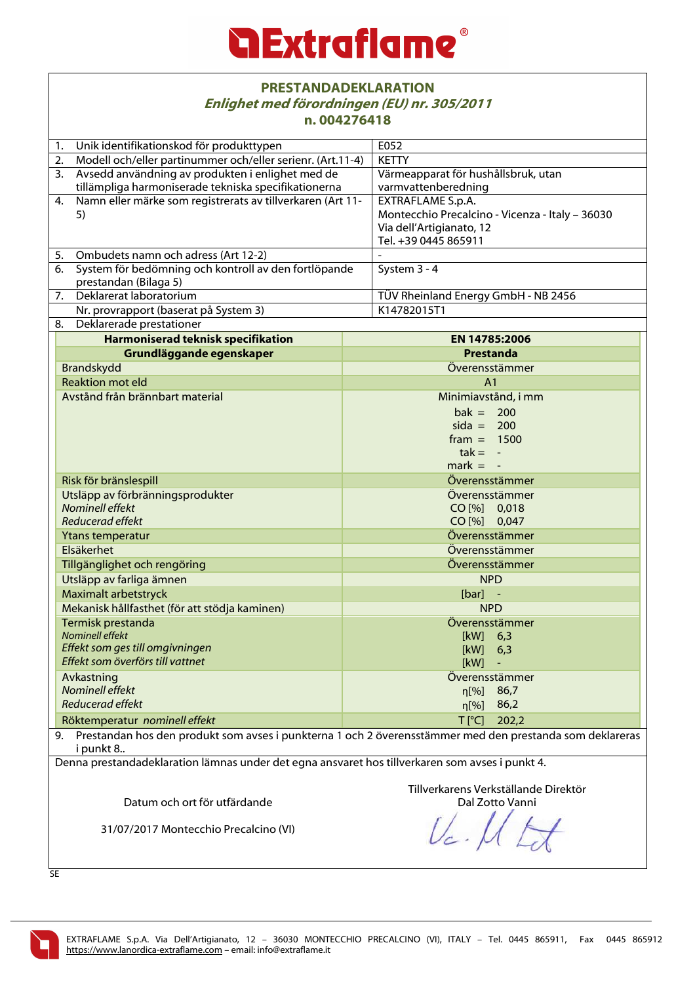| <b>PRESTANDADEKLARATION</b>                 |
|---------------------------------------------|
| Enlighet med förordningen (EU) nr. 305/2011 |
| n.004276418                                 |

|                  | n.0042/6418                                                                                                 |              |                                                 |  |
|------------------|-------------------------------------------------------------------------------------------------------------|--------------|-------------------------------------------------|--|
| 1.               | Unik identifikationskod för produkttypen                                                                    |              | E052                                            |  |
| 2.               | Modell och/eller partinummer och/eller serienr. (Art.11-4)                                                  |              | <b>KETTY</b>                                    |  |
| 3.               | Avsedd användning av produkten i enlighet med de                                                            |              | Värmeapparat för hushållsbruk, utan             |  |
|                  | tillämpliga harmoniserade tekniska specifikationerna                                                        |              | varmvattenberedning                             |  |
| 4.               | Namn eller märke som registrerats av tillverkaren (Art 11-                                                  |              | EXTRAFLAME S.p.A.                               |  |
|                  | 5)                                                                                                          |              | Montecchio Precalcino - Vicenza - Italy - 36030 |  |
|                  |                                                                                                             |              | Via dell'Artigianato, 12                        |  |
|                  |                                                                                                             |              | Tel. +39 0445 865911                            |  |
| 5.               | Ombudets namn och adress (Art 12-2)                                                                         |              |                                                 |  |
| 6.               | System för bedömning och kontroll av den fortlöpande                                                        |              | System 3 - 4                                    |  |
|                  | prestandan (Bilaga 5)                                                                                       |              |                                                 |  |
| 7.               | Deklarerat laboratorium                                                                                     |              | TÜV Rheinland Energy GmbH - NB 2456             |  |
|                  | Nr. provrapport (baserat på System 3)                                                                       |              | K14782015T1                                     |  |
| 8.               | Deklarerade prestationer                                                                                    |              |                                                 |  |
|                  | Harmoniserad teknisk specifikation                                                                          |              | EN 14785:2006                                   |  |
|                  | Grundläggande egenskaper                                                                                    |              | Prestanda                                       |  |
|                  | Brandskydd                                                                                                  |              | Överensstämmer                                  |  |
|                  | <b>Reaktion mot eld</b>                                                                                     |              | A <sub>1</sub>                                  |  |
|                  | Avstånd från brännbart material                                                                             |              | Minimiavstånd, i mm                             |  |
|                  |                                                                                                             |              | $bak = 200$                                     |  |
|                  |                                                                                                             |              | $sida = 200$                                    |  |
|                  |                                                                                                             |              | $frame = 1500$                                  |  |
|                  |                                                                                                             |              | $tak = -$                                       |  |
|                  |                                                                                                             |              | $mark = -$                                      |  |
|                  | Risk för bränslespill<br>Utsläpp av förbränningsprodukter                                                   |              | Överensstämmer                                  |  |
|                  |                                                                                                             |              | Överensstämmer                                  |  |
|                  | Nominell effekt                                                                                             |              | CO [%] 0,018                                    |  |
|                  | Reducerad effekt                                                                                            |              | CO [%] 0,047                                    |  |
|                  | Ytans temperatur                                                                                            |              | Överensstämmer                                  |  |
|                  | Elsäkerhet                                                                                                  |              | Överensstämmer                                  |  |
|                  | Tillgänglighet och rengöring                                                                                |              | Överensstämmer                                  |  |
|                  | Utsläpp av farliga ämnen<br>Maximalt arbetstryck                                                            |              | <b>NPD</b>                                      |  |
|                  |                                                                                                             |              | $[bar]$ -                                       |  |
|                  | Mekanisk hållfasthet (för att stödja kaminen)                                                               |              | <b>NPD</b>                                      |  |
|                  | Termisk prestanda                                                                                           |              | Överensstämmer                                  |  |
|                  | <b>Nominell effekt</b>                                                                                      |              | $[kW]$ 6,3                                      |  |
|                  | Effekt som ges till omgivningen                                                                             |              | [kW]<br>6,3                                     |  |
|                  | Effekt som överförs till vattnet                                                                            |              | [kW]                                            |  |
|                  | Avkastning                                                                                                  |              | Överensstämmer                                  |  |
|                  | Nominell effekt                                                                                             |              | 86,7<br>n[%]                                    |  |
| Reducerad effekt |                                                                                                             | 86,2<br>η[%] |                                                 |  |
|                  | Röktemperatur nominell effekt                                                                               |              | $T$ $[°C]$<br>202,2                             |  |
|                  | 9. Prestandan hos den produkt som avses i punkterna 1 och 2 överensstämmer med den prestanda som deklareras |              |                                                 |  |
|                  | i punkt 8                                                                                                   |              |                                                 |  |
|                  | Denna prestandadeklaration lämnas under det egna ansvaret hos tillverkaren som avses i punkt 4.             |              |                                                 |  |
|                  |                                                                                                             |              |                                                 |  |
|                  |                                                                                                             |              | Tillverkarens Verkställande Direktör            |  |
|                  | Datum och ort för utfärdande                                                                                |              | Dal Zotto Vanni                                 |  |
|                  |                                                                                                             |              |                                                 |  |
|                  | 31/07/2017 Montecchio Precalcino (VI)                                                                       |              |                                                 |  |
|                  |                                                                                                             |              |                                                 |  |

SE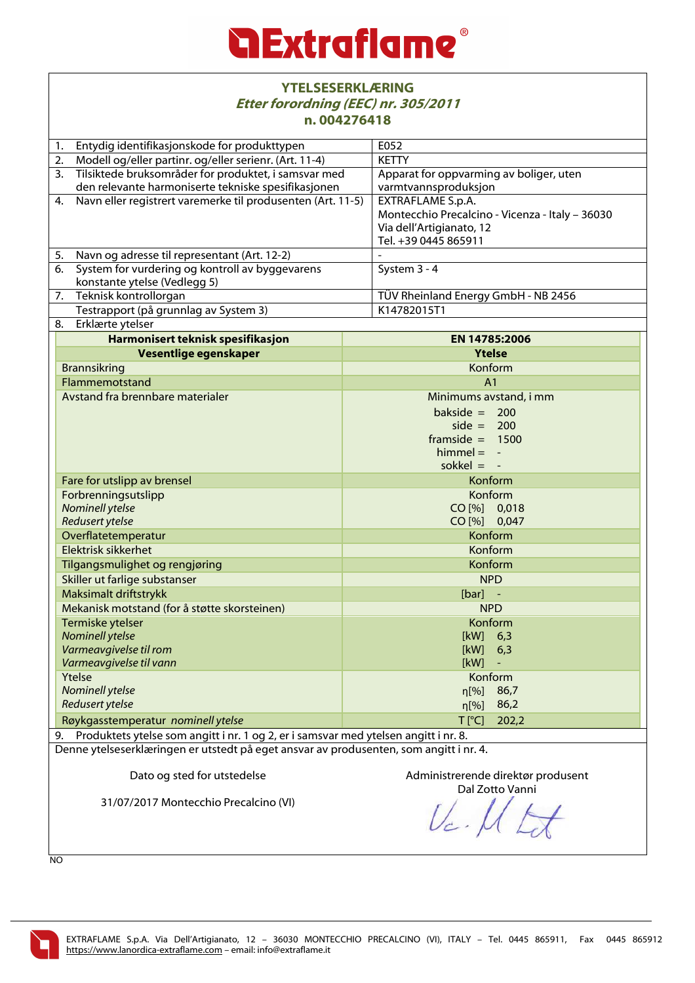### *<u>a Extraflame®</u>*

|                                                                                                                      | <b>YTELSESERKLÆRING</b><br>Etter forordning (EEC) nr. 305/2011<br>n.004276418            |              |                                                                                                                          |  |
|----------------------------------------------------------------------------------------------------------------------|------------------------------------------------------------------------------------------|--------------|--------------------------------------------------------------------------------------------------------------------------|--|
| 1.                                                                                                                   | Entydig identifikasjonskode for produkttypen                                             |              | E052                                                                                                                     |  |
| 2.                                                                                                                   | Modell og/eller partinr. og/eller serienr. (Art. 11-4)                                   |              | <b>KETTY</b>                                                                                                             |  |
|                                                                                                                      | 3. Tilsiktede bruksområder for produktet, i samsvar med                                  |              | Apparat for oppvarming av boliger, uten                                                                                  |  |
|                                                                                                                      | den relevante harmoniserte tekniske spesifikasjonen                                      |              | varmtvannsproduksjon                                                                                                     |  |
| Navn eller registrert varemerke til produsenten (Art. 11-5)<br>4.                                                    |                                                                                          |              | EXTRAFLAME S.p.A.<br>Montecchio Precalcino - Vicenza - Italy - 36030<br>Via dell'Artigianato, 12<br>Tel. +39 0445 865911 |  |
|                                                                                                                      | 5. Navn og adresse til representant (Art. 12-2)                                          |              |                                                                                                                          |  |
| 6.                                                                                                                   | System for vurdering og kontroll av byggevarens<br>konstante ytelse (Vedlegg 5)          |              | System 3 - 4                                                                                                             |  |
| 7.                                                                                                                   | Teknisk kontrollorgan                                                                    |              | TÜV Rheinland Energy GmbH - NB 2456                                                                                      |  |
|                                                                                                                      | Testrapport (på grunnlag av System 3)                                                    |              | K14782015T1                                                                                                              |  |
|                                                                                                                      | 8. Erklærte ytelser                                                                      |              |                                                                                                                          |  |
|                                                                                                                      | Harmonisert teknisk spesifikasjon                                                        |              | EN 14785:2006                                                                                                            |  |
|                                                                                                                      | Vesentlige egenskaper                                                                    |              | <b>Ytelse</b>                                                                                                            |  |
|                                                                                                                      | <b>Brannsikring</b>                                                                      |              | Konform                                                                                                                  |  |
|                                                                                                                      | Flammemotstand                                                                           |              | A <sub>1</sub>                                                                                                           |  |
|                                                                                                                      | Avstand fra brennbare materialer                                                         |              | Minimums avstand, i mm                                                                                                   |  |
|                                                                                                                      |                                                                                          |              | bakside = $200$<br>side $= 200$<br>framside $= 1500$<br>$himmel = -$<br>sokkel $= -$                                     |  |
|                                                                                                                      | Fare for utslipp av brensel                                                              |              | Konform                                                                                                                  |  |
|                                                                                                                      | Forbrenningsutslipp<br><b>Nominell ytelse</b>                                            |              | Konform                                                                                                                  |  |
|                                                                                                                      |                                                                                          |              | CO [%] 0,018                                                                                                             |  |
|                                                                                                                      | Redusert ytelse                                                                          | CO [%] 0,047 |                                                                                                                          |  |
|                                                                                                                      | Overflatetemperatur                                                                      |              | Konform<br>Konform                                                                                                       |  |
|                                                                                                                      | Elektrisk sikkerhet                                                                      |              |                                                                                                                          |  |
|                                                                                                                      | Tilgangsmulighet og rengjøring<br>Skiller ut farlige substanser<br>Maksimalt driftstrykk |              | Konform                                                                                                                  |  |
|                                                                                                                      |                                                                                          |              | <b>NPD</b>                                                                                                               |  |
|                                                                                                                      |                                                                                          |              | [bar]                                                                                                                    |  |
| Mekanisk motstand (for å støtte skorsteinen)<br>Termiske ytelser<br><b>Nominell ytelse</b><br>Varmeavgivelse til rom |                                                                                          | <b>NPD</b>   |                                                                                                                          |  |
|                                                                                                                      |                                                                                          | Konform      |                                                                                                                          |  |
|                                                                                                                      |                                                                                          | [kW]<br>6,3  |                                                                                                                          |  |
|                                                                                                                      |                                                                                          | [kW]<br>6,3  |                                                                                                                          |  |
| Varmeavgivelse til vann                                                                                              |                                                                                          | [kW]         |                                                                                                                          |  |
| Ytelse<br>Konform                                                                                                    |                                                                                          |              |                                                                                                                          |  |
|                                                                                                                      | <b>Nominell ytelse</b>                                                                   |              | 86,7<br>$\eta$ [%]                                                                                                       |  |
| <b>Redusert ytelse</b>                                                                                               |                                                                                          |              | 86,2<br>$\eta$ [%]                                                                                                       |  |
| $T$ [ $^{\circ}$ C]<br>202,2<br>Røykgasstemperatur nominell ytelse                                                   |                                                                                          |              |                                                                                                                          |  |
| Produktets ytelse som angitt i nr. 1 og 2, er i samsvar med ytelsen angitt i nr. 8.<br>9.                            |                                                                                          |              |                                                                                                                          |  |
|                                                                                                                      | Denne ytelseserklæringen er utstedt på eget ansvar av produsenten, som angitt i nr. 4.   |              |                                                                                                                          |  |

Dato og sted for utstedelse

31/07/2017 Montecchio Precalcino (VI)

Administrerende direktør produsent Dal Zotto Vanni

 $U_c$  $\overline{\phantom{a}}$ 

NO

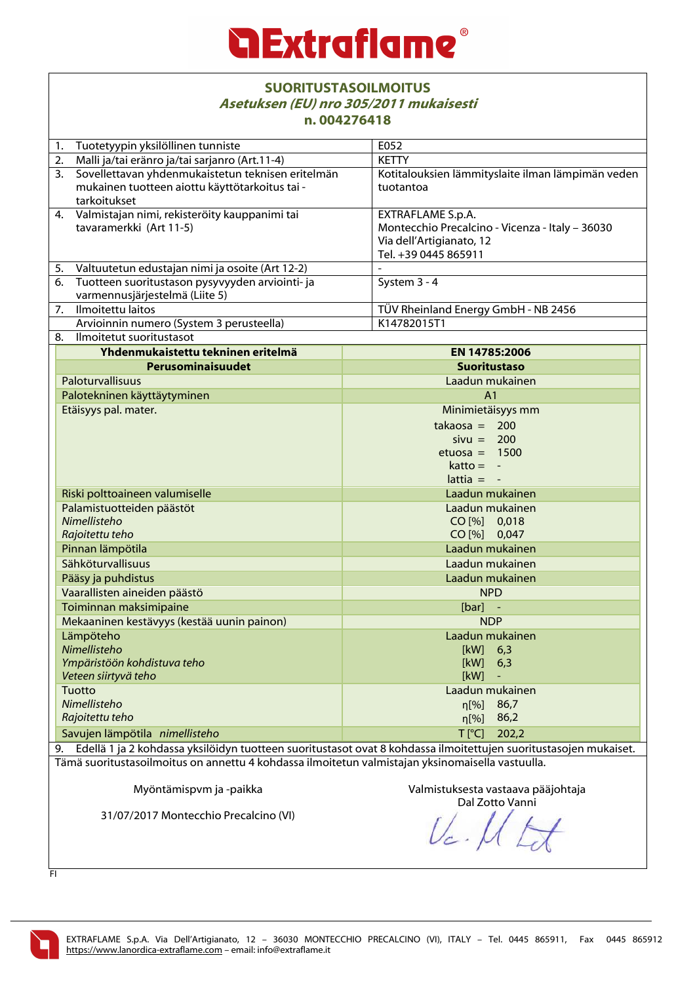|                                                                                                  | <b>SUORITUSTASOILMOITUS</b><br>Asetuksen (EU) nro 305/2011 mukaisesti<br>n.004276418                             |                                                   |  |  |
|--------------------------------------------------------------------------------------------------|------------------------------------------------------------------------------------------------------------------|---------------------------------------------------|--|--|
| Tuotetyypin yksilöllinen tunniste<br>1.                                                          |                                                                                                                  | E052                                              |  |  |
| 2.                                                                                               | Malli ja/tai eränro ja/tai sarjanro (Art.11-4)                                                                   | <b>KETTY</b>                                      |  |  |
| 3 <sub>1</sub>                                                                                   | Sovellettavan yhdenmukaistetun teknisen eritelmän                                                                | Kotitalouksien lämmityslaite ilman lämpimän veden |  |  |
|                                                                                                  | mukainen tuotteen aiottu käyttötarkoitus tai -                                                                   | tuotantoa                                         |  |  |
|                                                                                                  | tarkoitukset                                                                                                     |                                                   |  |  |
|                                                                                                  | 4. Valmistajan nimi, rekisteröity kauppanimi tai                                                                 | EXTRAFLAME S.p.A.                                 |  |  |
|                                                                                                  | tavaramerkki (Art 11-5)                                                                                          | Montecchio Precalcino - Vicenza - Italy - 36030   |  |  |
|                                                                                                  |                                                                                                                  | Via dell'Artigianato, 12                          |  |  |
|                                                                                                  |                                                                                                                  | Tel. +39 0445 865911                              |  |  |
| 5.                                                                                               | Valtuutetun edustajan nimi ja osoite (Art 12-2)                                                                  |                                                   |  |  |
| 6.                                                                                               | Tuotteen suoritustason pysyvyyden arviointi- ja                                                                  | System 3 - 4                                      |  |  |
|                                                                                                  | varmennusjärjestelmä (Liite 5)                                                                                   |                                                   |  |  |
| 7.                                                                                               | Ilmoitettu laitos                                                                                                | TÜV Rheinland Energy GmbH - NB 2456               |  |  |
|                                                                                                  | Arvioinnin numero (System 3 perusteella)                                                                         | K14782015T1                                       |  |  |
| 8.                                                                                               | Ilmoitetut suoritustasot                                                                                         |                                                   |  |  |
|                                                                                                  | Yhdenmukaistettu tekninen eritelmä                                                                               | EN 14785:2006                                     |  |  |
|                                                                                                  | Perusominaisuudet                                                                                                | <b>Suoritustaso</b>                               |  |  |
|                                                                                                  | Paloturvallisuus                                                                                                 | Laadun mukainen                                   |  |  |
|                                                                                                  | Palotekninen käyttäytyminen                                                                                      | A <sub>1</sub>                                    |  |  |
|                                                                                                  | Etäisyys pal. mater.                                                                                             | Minimietäisyys mm                                 |  |  |
|                                                                                                  |                                                                                                                  | $takaosa = 200$                                   |  |  |
|                                                                                                  |                                                                                                                  | $sivu = 200$                                      |  |  |
|                                                                                                  |                                                                                                                  | etuosa = $1500$                                   |  |  |
|                                                                                                  |                                                                                                                  | $katto = -$                                       |  |  |
|                                                                                                  |                                                                                                                  | $lattice = -$                                     |  |  |
|                                                                                                  | Riski polttoaineen valumiselle                                                                                   | Laadun mukainen                                   |  |  |
|                                                                                                  | Palamistuotteiden päästöt                                                                                        | Laadun mukainen                                   |  |  |
|                                                                                                  | Nimellisteho                                                                                                     | CO [%] 0,018                                      |  |  |
|                                                                                                  | Rajoitettu teho                                                                                                  | CO [%] 0,047                                      |  |  |
|                                                                                                  | Pinnan lämpötila                                                                                                 | Laadun mukainen                                   |  |  |
|                                                                                                  | Sähköturvallisuus                                                                                                | Laadun mukainen                                   |  |  |
|                                                                                                  | Pääsy ja puhdistus                                                                                               | Laadun mukainen                                   |  |  |
| Vaarallisten aineiden päästö                                                                     |                                                                                                                  | <b>NPD</b>                                        |  |  |
| Toiminnan maksimipaine                                                                           |                                                                                                                  | $[bar]$ -                                         |  |  |
| Mekaaninen kestävyys (kestää uunin painon)                                                       |                                                                                                                  | <b>NDP</b>                                        |  |  |
| Lämpöteho                                                                                        |                                                                                                                  | Laadun mukainen                                   |  |  |
| Nimellisteho                                                                                     |                                                                                                                  | [kW]<br>6,3                                       |  |  |
| Ympäristöön kohdistuva teho                                                                      |                                                                                                                  | [kW]<br>6,3                                       |  |  |
| Veteen siirtyvä teho                                                                             |                                                                                                                  | [kW]                                              |  |  |
|                                                                                                  | Tuotto                                                                                                           | Laadun mukainen                                   |  |  |
|                                                                                                  | Nimellisteho                                                                                                     | 86,7<br>n[%]                                      |  |  |
|                                                                                                  | Rajoitettu teho                                                                                                  | 86,2<br>$\eta$ [%]                                |  |  |
| Savujen lämpötila nimellisteho                                                                   |                                                                                                                  | $T$ [ $^{\circ}$ C]<br>202,2                      |  |  |
| 9.                                                                                               | Edellä 1 ja 2 kohdassa yksilöidyn tuotteen suoritustasot ovat 8 kohdassa ilmoitettujen suoritustasojen mukaiset. |                                                   |  |  |
| Tämä suoritustasoilmoitus on annettu 4 kohdassa ilmoitetun valmistajan yksinomaisella vastuulla. |                                                                                                                  |                                                   |  |  |

Myöntämispvm ja -paikka

31/07/2017 Montecchio Precalcino (VI)

Valmistuksesta vastaava pääjohtaja

Dal Zotto Vanni

FI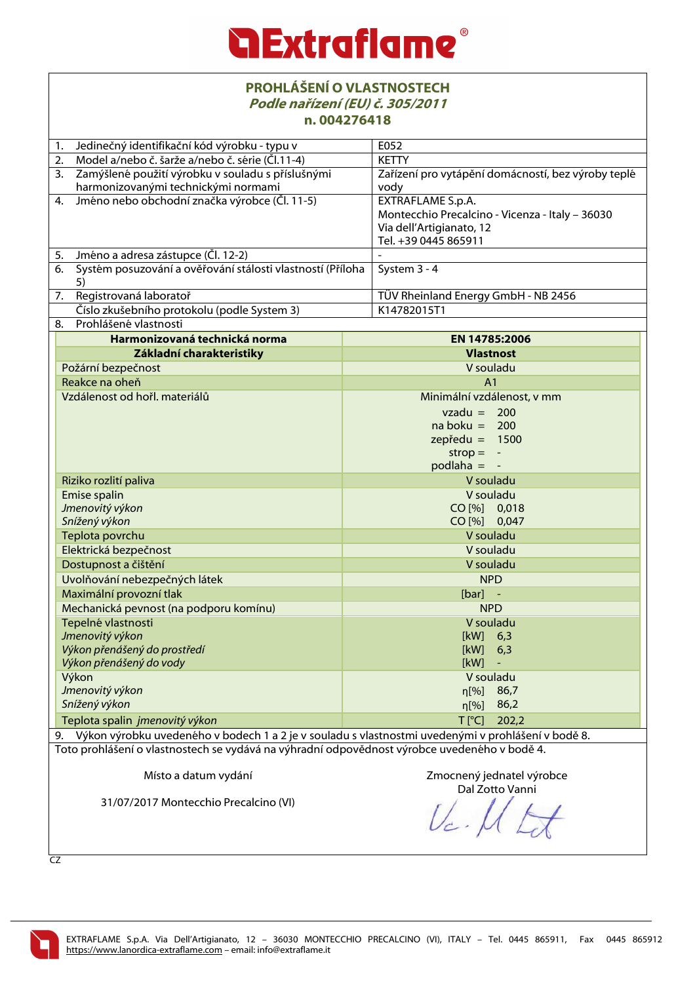| <b>PROHLÁŠENÍ O VLASTNOSTECH</b><br>Podle nařízení (EU) č. 305/2011<br>n.004276418                    |                                                            |  |
|-------------------------------------------------------------------------------------------------------|------------------------------------------------------------|--|
| Jedinečný identifikační kód výrobku - typu v<br>1.                                                    | E052                                                       |  |
| Model a/nebo č. šarže a/nebo č. série (Čl.11-4)<br>2.                                                 | <b>KETTY</b>                                               |  |
| Zamýšlené použití výrobku v souladu s příslušnými<br>3.<br>harmonizovanými technickými normami        | Zařízení pro vytápění domácností, bez výroby teplé<br>vody |  |
| Jméno nebo obchodní značka výrobce (Čl. 11-5)<br>4.                                                   | EXTRAFLAME S.p.A.                                          |  |
|                                                                                                       | Montecchio Precalcino - Vicenza - Italy - 36030            |  |
|                                                                                                       | Via dell'Artigianato, 12                                   |  |
|                                                                                                       | Tel. +39 0445 865911                                       |  |
| Jméno a adresa zástupce (Čl. 12-2)<br>5.                                                              |                                                            |  |
| Systém posuzování a ověřování stálosti vlastností (Příloha<br>6.                                      | System 3 - 4                                               |  |
| 5)<br>Registrovaná laboratoř                                                                          | TÜV Rheinland Energy GmbH - NB 2456                        |  |
| 7.<br>Číslo zkušebního protokolu (podle System 3)                                                     | K14782015T1                                                |  |
| Prohlášené vlastnosti<br>8.                                                                           |                                                            |  |
| Harmonizovaná technická norma                                                                         | EN 14785:2006                                              |  |
| Základní charakteristiky                                                                              | <b>Vlastnost</b>                                           |  |
| Požární bezpečnost                                                                                    | V souladu                                                  |  |
| Reakce na oheň                                                                                        | A <sub>1</sub>                                             |  |
| Vzdálenost od hořl. materiálů                                                                         | Minimální vzdálenost, v mm                                 |  |
|                                                                                                       | $vzadu = 200$                                              |  |
|                                                                                                       | $naboku = 200$                                             |  |
|                                                                                                       | $zepředu = 1500$                                           |  |
|                                                                                                       | $strop =$<br>$\overline{\phantom{a}}$                      |  |
|                                                                                                       | $p$ odlaha = -                                             |  |
| Riziko rozlití paliva                                                                                 | V souladu                                                  |  |
| Emise spalin                                                                                          | V souladu                                                  |  |
| Jmenovitý výkon                                                                                       | CO [%] 0,018                                               |  |
| Snížený výkon                                                                                         | CO [%] 0,047                                               |  |
| Teplota povrchu                                                                                       | V souladu                                                  |  |
| Elektrická bezpečnost                                                                                 | V souladu                                                  |  |
| Dostupnost a čištění                                                                                  | V souladu                                                  |  |
| Uvolňování nebezpečných látek                                                                         | <b>NPD</b>                                                 |  |
| Maximální provozní tlak                                                                               | $[bar]$ -                                                  |  |
| Mechanická pevnost (na podporu komínu)                                                                | <b>NPD</b>                                                 |  |
| Tepelné vlastnosti<br>Jmenovitý výkon                                                                 | V souladu<br>6,3<br>[kW]                                   |  |
| Výkon přenášený do prostředí                                                                          | [kW]<br>6,3                                                |  |
| Výkon přenášený do vody<br>[kW]                                                                       |                                                            |  |
| Výkon                                                                                                 | V souladu                                                  |  |
| Jmenovitý výkon                                                                                       | n[%]<br>86,7                                               |  |
| Snížený výkon                                                                                         | 86,2<br>$\eta$ [%]                                         |  |
| Teplota spalin jmenovitý výkon                                                                        | $T$ [ $^{\circ}$ C]<br>202,2                               |  |
| 9. Výkon výrobku uvedeného v bodech 1 a 2 je v souladu s vlastnostmi uvedenými v prohlášení v bodě 8. |                                                            |  |
| Toto prohlášení o vlastnostech se vydává na výhradní odpovědnost výrobce uvedeného v bodě 4.          |                                                            |  |
|                                                                                                       |                                                            |  |
| Místo a datum vydání                                                                                  | Zmocnený jednatel výrobce                                  |  |
|                                                                                                       | Dal Zotto Vanni                                            |  |
| 31/07/2017 Montecchio Precalcino (VI)                                                                 |                                                            |  |

CZ

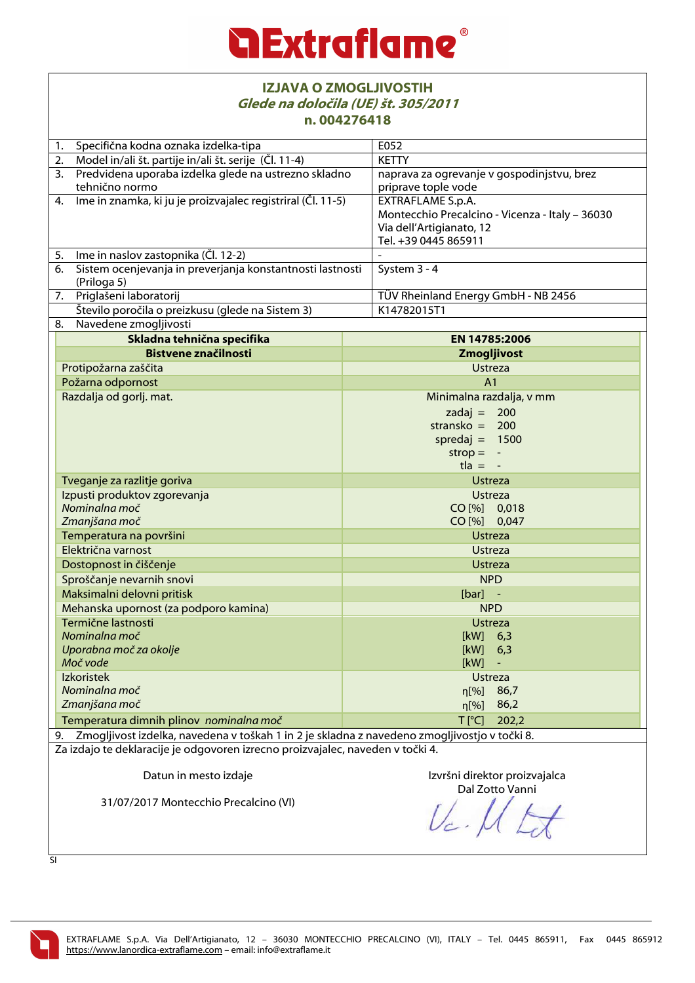| <b>IZJAVA O ZMOGLJIVOSTIH</b><br>Glede na določila (UE) št. 305/2011<br>n.004276418             |                                                                             |
|-------------------------------------------------------------------------------------------------|-----------------------------------------------------------------------------|
| Specifična kodna oznaka izdelka-tipa<br>1.                                                      | E052                                                                        |
| Model in/ali št. partije in/ali št. serije (Čl. 11-4)<br>2.                                     | <b>KETTY</b>                                                                |
| Predvidena uporaba izdelka glede na ustrezno skladno<br>3.                                      | naprava za ogrevanje v gospodinjstvu, brez                                  |
| tehnično normo                                                                                  | priprave tople vode                                                         |
| Ime in znamka, ki ju je proizvajalec registriral (Čl. 11-5)<br>4.                               | EXTRAFLAME S.p.A.                                                           |
|                                                                                                 | Montecchio Precalcino - Vicenza - Italy - 36030<br>Via dell'Artigianato, 12 |
|                                                                                                 | Tel. +39 0445 865911                                                        |
| Ime in naslov zastopnika (Čl. 12-2)<br>5.                                                       |                                                                             |
| Sistem ocenjevanja in preverjanja konstantnosti lastnosti<br>6.                                 | System 3 - 4                                                                |
| (Priloga 5)                                                                                     |                                                                             |
| Priglašeni laboratorij<br>7.                                                                    | TÜV Rheinland Energy GmbH - NB 2456                                         |
| Število poročila o preizkusu (glede na Sistem 3)                                                | K14782015T1                                                                 |
| Navedene zmogljivosti<br>8.                                                                     |                                                                             |
| Skladna tehnična specifika                                                                      | EN 14785:2006                                                               |
| <b>Bistvene značilnosti</b>                                                                     | Zmogljivost                                                                 |
| Protipožarna zaščita                                                                            | <b>Ustreza</b>                                                              |
| Požarna odpornost                                                                               | A <sub>1</sub>                                                              |
| Razdalja od gorlj. mat.                                                                         | Minimalna razdalja, v mm                                                    |
|                                                                                                 | zadaj = $200$                                                               |
|                                                                                                 | stransko = $200$                                                            |
|                                                                                                 | spredaj = $1500$                                                            |
|                                                                                                 | $strop =$                                                                   |
|                                                                                                 | $t \cdot a = -$                                                             |
| Tveganje za razlitje goriva                                                                     | <b>Ustreza</b>                                                              |
| Izpusti produktov zgorevanja                                                                    | <b>Ustreza</b>                                                              |
| Nominalna moč                                                                                   | CO [%] 0,018                                                                |
| Zmanjšana moč                                                                                   | CO [%] 0,047                                                                |
| Temperatura na površini                                                                         | <b>Ustreza</b>                                                              |
| Električna varnost                                                                              | <b>Ustreza</b>                                                              |
| Dostopnost in čiščenje                                                                          | <b>Ustreza</b>                                                              |
| Sproščanje nevarnih snovi                                                                       | <b>NPD</b>                                                                  |
| Maksimalni delovni pritisk                                                                      | $[bar]$ -                                                                   |
| Mehanska upornost (za podporo kamina)                                                           | <b>NPD</b>                                                                  |
| Termične lastnosti                                                                              | <b>Ustreza</b>                                                              |
| Nominalna moč                                                                                   | [kW]<br>6,3                                                                 |
| Uporabna moč za okolje                                                                          | [kW]<br>6,3                                                                 |
| Moč vode                                                                                        | [kW]                                                                        |
| Izkoristek                                                                                      | <b>Ustreza</b>                                                              |
| Nominalna moč                                                                                   | n[%]<br>86,7                                                                |
| Zmanjšana moč                                                                                   | 86,2<br>$\eta$ [%]                                                          |
| Temperatura dimnih plinov nominalna moč                                                         | $T$ [ $^{\circ}$ C]<br>202,2                                                |
| 9. Zmogljivost izdelka, navedena v toškah 1 in 2 je skladna z navedeno zmogljivostjo v točki 8. |                                                                             |
| Za izdajo te deklaracije je odgovoren izrecno proizvajalec, naveden v točki 4.                  |                                                                             |
| Datun in mesto izdaje                                                                           | Izvršni direktor proizvajalca                                               |
|                                                                                                 | Dal Zotto Vanni                                                             |
| 31/07/2017 Montecchio Precalcino (VI)                                                           |                                                                             |

SI

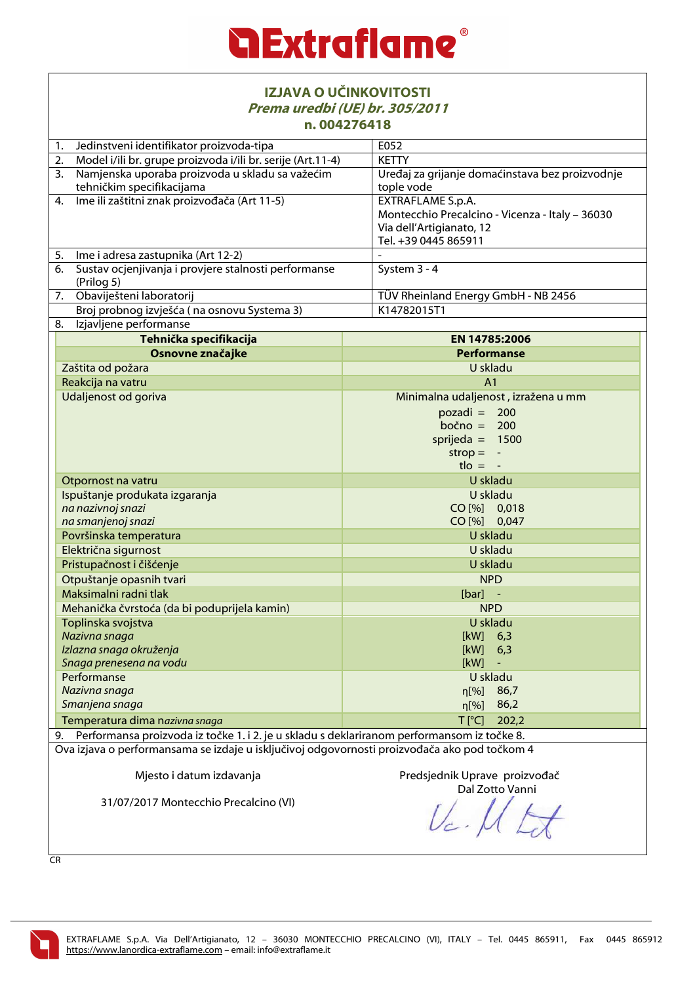

| IZJAVA O UČINKOVITOSTI<br>Prema uredbi (UE) br. 305/2011<br>n.004276418                                                                                                                    |                                                                                                     |
|--------------------------------------------------------------------------------------------------------------------------------------------------------------------------------------------|-----------------------------------------------------------------------------------------------------|
| Jedinstveni identifikator proizvoda-tipa<br>1.                                                                                                                                             | E052                                                                                                |
| Model i/ili br. grupe proizvoda i/ili br. serije (Art.11-4)<br>2.                                                                                                                          | <b>KETTY</b>                                                                                        |
| Namjenska uporaba proizvoda u skladu sa važećim<br>3.<br>tehničkim specifikacijama                                                                                                         | Uređaj za grijanje domaćinstava bez proizvodnje<br>tople vode                                       |
| 4. Ime ili zaštitni znak proizvođača (Art 11-5)                                                                                                                                            | <b>EXTRAFLAME S.p.A.</b>                                                                            |
|                                                                                                                                                                                            | Montecchio Precalcino - Vicenza - Italy - 36030<br>Via dell'Artigianato, 12<br>Tel. +39 0445 865911 |
| Ime i adresa zastupnika (Art 12-2)<br>5.                                                                                                                                                   |                                                                                                     |
| Sustav ocjenjivanja i provjere stalnosti performanse<br>6.<br>(Prilog 5)                                                                                                                   | System 3 - 4                                                                                        |
| 7. Obaviješteni laboratorij                                                                                                                                                                | TÜV Rheinland Energy GmbH - NB 2456                                                                 |
| Broj probnog izvješća (na osnovu Systema 3)                                                                                                                                                | K14782015T1                                                                                         |
| Izjavljene performanse<br>8.                                                                                                                                                               |                                                                                                     |
| Tehnička specifikacija                                                                                                                                                                     | EN 14785:2006                                                                                       |
| Osnovne značajke                                                                                                                                                                           | <b>Performanse</b>                                                                                  |
| Zaštita od požara                                                                                                                                                                          | U skladu                                                                                            |
| Reakcija na vatru                                                                                                                                                                          | A <sub>1</sub>                                                                                      |
| Udaljenost od goriva                                                                                                                                                                       | Minimalna udaljenost, izražena u mm                                                                 |
|                                                                                                                                                                                            | $pozadi = 200$                                                                                      |
|                                                                                                                                                                                            | bočno = $200$                                                                                       |
|                                                                                                                                                                                            | sprijeda = $1500$                                                                                   |
|                                                                                                                                                                                            | $strop = -$<br>$t \cdot l$ = $-$                                                                    |
| Otpornost na vatru                                                                                                                                                                         | U skladu                                                                                            |
| Ispuštanje produkata izgaranja                                                                                                                                                             | U skladu                                                                                            |
| na nazivnoj snazi                                                                                                                                                                          | CO [%] 0,018                                                                                        |
| na smanjenoj snazi                                                                                                                                                                         | CO [%] 0,047                                                                                        |
| Površinska temperatura                                                                                                                                                                     | U skladu                                                                                            |
| Električna sigurnost                                                                                                                                                                       | U skladu                                                                                            |
| Pristupačnost i čišćenje                                                                                                                                                                   | U skladu                                                                                            |
| Otpuštanje opasnih tvari                                                                                                                                                                   | <b>NPD</b>                                                                                          |
| Maksimalni radni tlak                                                                                                                                                                      | $[bar]$ -                                                                                           |
| Mehanička čvrstoća (da bi poduprijela kamin)                                                                                                                                               | <b>NPD</b>                                                                                          |
| Toplinska svojstva                                                                                                                                                                         | U skladu                                                                                            |
| Nazivna snaga                                                                                                                                                                              | [kW]<br>6,3                                                                                         |
| Izlazna snaga okruženja                                                                                                                                                                    | [kW]<br>6,3                                                                                         |
| Snaga prenesena na vodu<br>Performanse                                                                                                                                                     | [kW]<br>U skladu                                                                                    |
| Nazivna snaga                                                                                                                                                                              | n[%]<br>86,7                                                                                        |
| Smanjena snaga                                                                                                                                                                             | 86,2<br>n[%]                                                                                        |
| Temperatura dima nazivna snaga                                                                                                                                                             | $T$ [ $^{\circ}$ C]<br>202,2                                                                        |
| 9.                                                                                                                                                                                         |                                                                                                     |
| Performansa proizvoda iz točke 1. i 2. je u skladu s deklariranom performansom iz točke 8.<br>Ova izjava o performansama se izdaje u isključivoj odgovornosti proizvođača ako pod točkom 4 |                                                                                                     |
| Mjesto i datum izdavanja                                                                                                                                                                   | Predsjednik Uprave proizvođač<br>Dal Zotto Vanni                                                    |
| 31/07/2017 Montecchio Precalcino (VI)                                                                                                                                                      |                                                                                                     |

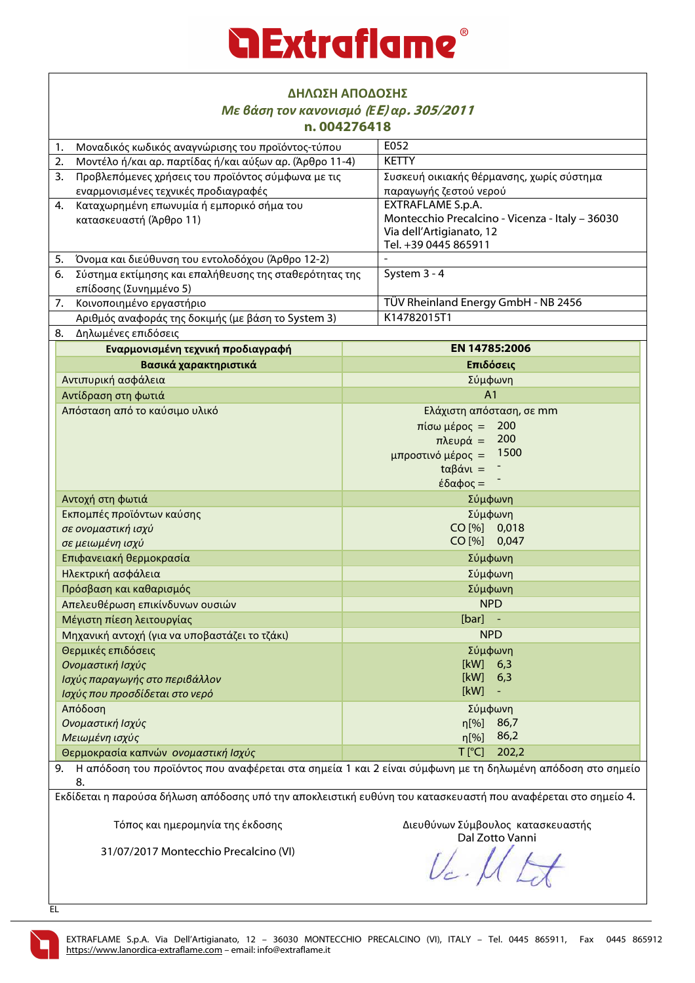| ΔΗΛΩΣΗ ΑΠΟΔΟΣΗΣ                                                                                                       |                                                 |
|-----------------------------------------------------------------------------------------------------------------------|-------------------------------------------------|
| Με βάση τον κανονισμό (ΕΕ) αρ. 305/2011<br>n.004276418                                                                |                                                 |
| Μοναδικός κωδικός αναγνώρισης του προϊόντος-τύπου<br>1.                                                               | E052                                            |
| Μοντέλο ή/και αρ. παρτίδας ή/και αύξων αρ. (Άρθρο 11-4)<br>2.                                                         | <b>KETTY</b>                                    |
| Προβλεπόμενες χρήσεις του προϊόντος σύμφωνα με τις<br>3.                                                              | Συσκευή οικιακής θέρμανσης, χωρίς σύστημα       |
| εναρμονισμένες τεχνικές προδιαγραφές                                                                                  | παραγωγής ζεστού νερού                          |
| Καταχωρημένη επωνυμία ή εμπορικό σήμα του<br>4.                                                                       | <b>EXTRAFLAME S.p.A.</b>                        |
| κατασκευαστή (Άρθρο 11)                                                                                               | Montecchio Precalcino - Vicenza - Italy - 36030 |
|                                                                                                                       | Via dell'Artigianato, 12                        |
|                                                                                                                       | Tel. +39 0445 865911                            |
| 5.<br>Όνομα και διεύθυνση του εντολοδόχου (Άρθρο 12-2)                                                                |                                                 |
| Σύστημα εκτίμησης και επαλήθευσης της σταθερότητας της<br>6.                                                          | System 3 - 4                                    |
| επίδοσης (Συνημμένο 5)                                                                                                |                                                 |
| 7.<br>Κοινοποιημένο εργαστήριο                                                                                        | TÜV Rheinland Energy GmbH - NB 2456             |
| Αριθμός αναφοράς της δοκιμής (με βάση το System 3)                                                                    | K14782015T1                                     |
| Δηλωμένες επιδόσεις<br>8.                                                                                             |                                                 |
| Εναρμονισμένη τεχνική προδιαγραφή                                                                                     | EN 14785:2006                                   |
| Βασικά χαρακτηριστικά                                                                                                 | Επιδόσεις                                       |
| Αντιπυρική ασφάλεια                                                                                                   | Σύμφωνη                                         |
| Αντίδραση στη φωτιά                                                                                                   | A <sub>1</sub>                                  |
| Απόσταση από το καύσιμο υλικό                                                                                         | Ελάχιστη απόσταση, σε mm                        |
|                                                                                                                       | 200<br>$π$ ίσω μέρος =                          |
|                                                                                                                       | 200<br>πλευρά =<br>1500                         |
|                                                                                                                       | μπροστινό μέρος =                               |
|                                                                                                                       | $t\alpha\beta$ άνι =                            |
| Αντοχή στη φωτιά                                                                                                      | έδαφος =<br>Σύμφωνη                             |
| Εκπομπές προϊόντων καύσης                                                                                             | Σύμφωνη                                         |
| σε ονομαστική ισχύ                                                                                                    | CO [%] 0,018                                    |
| σε μειωμένη ισχύ                                                                                                      | CO [%] 0,047                                    |
| Επιφανειακή θερμοκρασία                                                                                               | Σύμφωνη                                         |
| Ηλεκτρική ασφάλεια                                                                                                    | Σύμφωνη                                         |
| Πρόσβαση και καθαρισμός                                                                                               | Σύμφωνη                                         |
| Απελευθέρωση επικίνδυνων ουσιών                                                                                       | <b>NPD</b>                                      |
| Μέγιστη πίεση λειτουργίας                                                                                             | $[bar]$ -                                       |
| Μηχανική αντοχή (για να υποβαστάζει το τζάκι)                                                                         | <b>NPD</b>                                      |
| Θερμικές επιδόσεις                                                                                                    | Σύμφωνη                                         |
| Ονομαστική Ισχύς                                                                                                      | [kW]<br>6,3                                     |
| Ισχύς παραγωγής στο περιβάλλον                                                                                        | [kW]<br>6,3                                     |
| Ισχύς που προσδίδεται στο νερό                                                                                        | [kW]                                            |
| Απόδοση                                                                                                               | Σύμφωνη                                         |
| Ονομαστική Ισχύς                                                                                                      | n[%]<br>86,7                                    |
| Μειωμένη ισχύς                                                                                                        | 86,2<br>$\eta$ [%]                              |
| Θερμοκρασία καπνών ονομαστική Ισχύς                                                                                   | $T$ [ $^{\circ}$ C]<br>202,2                    |
| Η απόδοση του προϊόντος που αναφέρεται στα σημεία 1 και 2 είναι σύμφωνη με τη δηλωμένη απόδοση στο σημείο<br>9.<br>8. |                                                 |
| Εκδίδεται η παρούσα δήλωση απόδοσης υπό την αποκλειστική ευθύνη του κατασκευαστή που αναφέρεται στο σημείο 4.         |                                                 |
| Τόπος και ημερομηνία της έκδοσης                                                                                      | Διευθύνων Σύμβουλος κατασκευαστής               |

31/07/2017 Montecchio Precalcino (VI)

Dal Zotto Vanni

EL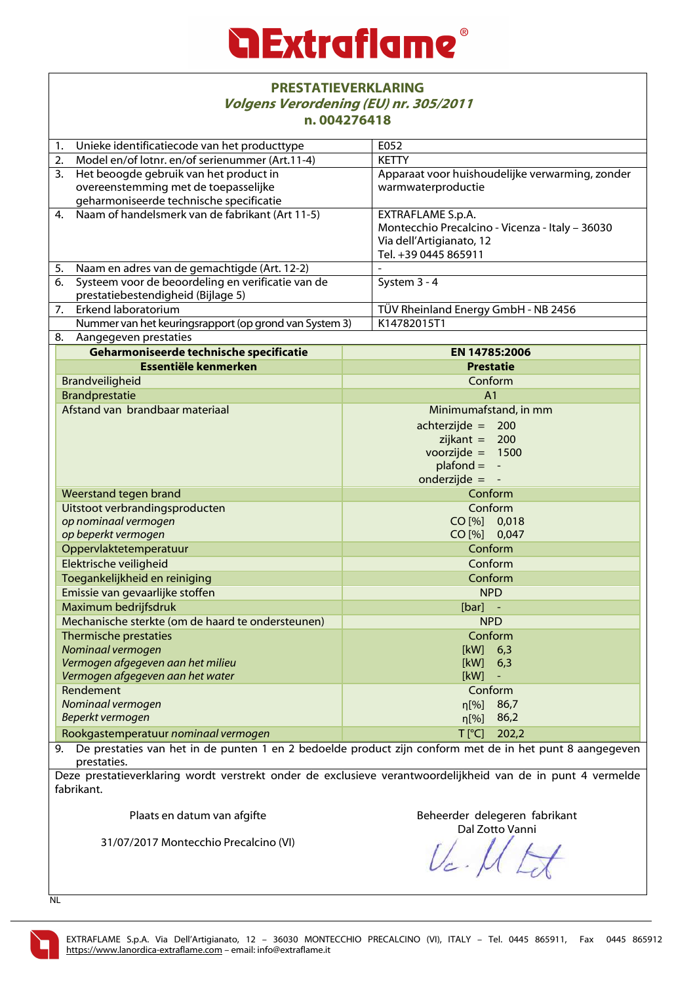### **Extraflame**

#### **PRESTATIEVERKLARING Volgens Verordening (EU) nr. 305/2011 n. 004276418**

| Unieke identificatiecode van het producttype<br>1.      | E052                                            |
|---------------------------------------------------------|-------------------------------------------------|
| 2.<br>Model en/of lotnr. en/of serienummer (Art.11-4)   | <b>KETTY</b>                                    |
| Het beoogde gebruik van het product in<br>3.            | Apparaat voor huishoudelijke verwarming, zonder |
| overeenstemming met de toepasselijke                    | warmwaterproductie                              |
| geharmoniseerde technische specificatie                 |                                                 |
| Naam of handelsmerk van de fabrikant (Art 11-5)<br>4.   | EXTRAFLAME S.p.A.                               |
|                                                         | Montecchio Precalcino - Vicenza - Italy - 36030 |
|                                                         | Via dell'Artigianato, 12                        |
| Naam en adres van de gemachtigde (Art. 12-2)<br>5.      | Tel. +39 0445 865911                            |
| Systeem voor de beoordeling en verificatie van de<br>6. | System 3 - 4                                    |
| prestatiebestendigheid (Bijlage 5)                      |                                                 |
| 7.<br>Erkend laboratorium                               | TÜV Rheinland Energy GmbH - NB 2456             |
| Nummer van het keuringsrapport (op grond van System 3)  | K14782015T1                                     |
| 8.<br>Aangegeven prestaties                             |                                                 |
| Geharmoniseerde technische specificatie                 | EN 14785:2006                                   |
| Essentiële kenmerken                                    | <b>Prestatie</b>                                |
| Brandveiligheid                                         | Conform                                         |
| <b>Brandprestatie</b>                                   | A <sub>1</sub>                                  |
| Afstand van brandbaar materiaal                         | Minimumafstand, in mm                           |
|                                                         | $achterzijde = 200$                             |
|                                                         | zijkant = $200$                                 |
|                                                         | voorzijde = $1500$                              |
|                                                         | $plafond = -$                                   |
|                                                         | onderzijde = $-$                                |
| Weerstand tegen brand                                   | Conform                                         |
| Uitstoot verbrandingsproducten                          | Conform                                         |
| op nominaal vermogen                                    | CO [%] 0,018                                    |
| op beperkt vermogen                                     | CO [%] 0,047                                    |
| Oppervlaktetemperatuur                                  | Conform                                         |
| Elektrische veiligheid                                  | Conform                                         |
| Toegankelijkheid en reiniging                           | Conform                                         |
| Emissie van gevaarlijke stoffen                         | <b>NPD</b>                                      |
| Maximum bedrijfsdruk                                    | $[bar]$ -                                       |
| Mechanische sterkte (om de haard te ondersteunen)       | <b>NPD</b>                                      |
| Thermische prestaties                                   | Conform                                         |
| Nominaal vermogen                                       | $[kW]$ 6,3                                      |
| Vermogen afgegeven aan het milieu                       | [kW]<br>6,3                                     |
| Vermogen afgegeven aan het water                        | [kW]                                            |
| Rendement                                               | Conform                                         |
| Nominaal vermogen<br>Beperkt vermogen                   | 86,7<br>n[%]<br>86,2                            |
|                                                         | $\eta$ [%]                                      |
| Rookgastemperatuur nominaal vermogen                    | $T$ [ $^{\circ}$ C]<br>202,2                    |

9. De prestaties van het in de punten 1 en 2 bedoelde product zijn conform met de in het punt 8 aangegeven prestaties.

Deze prestatieverklaring wordt verstrekt onder de exclusieve verantwoordelijkheid van de in punt 4 vermelde fabrikant.

Plaats en datum van afgifte

Beheerder delegeren fabrikant Dal Zotto Vanni

31/07/2017 Montecchio Precalcino (VI)

 $U_c$ .

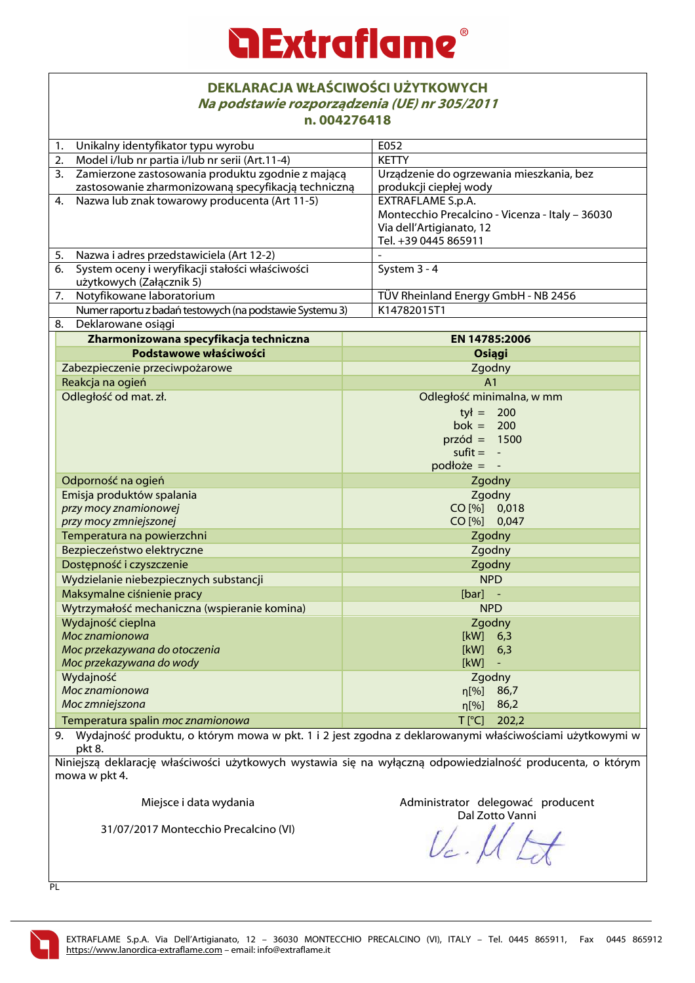## **Extraflame**

#### **DEKLARACJA WŁAŚCIWOŚCI UŻYTKOWYCH Na podstawie rozporządzenia (UE) nr 305/2011 n. 004276418**

| II. VV44/ V4 I 0                                                                                                     |                                                 |
|----------------------------------------------------------------------------------------------------------------------|-------------------------------------------------|
| Unikalny identyfikator typu wyrobu<br>1.                                                                             | E052                                            |
| Model i/lub nr partia i/lub nr serii (Art.11-4)<br>2.                                                                | <b>KETTY</b>                                    |
| Zamierzone zastosowania produktu zgodnie z mającą<br>3.                                                              | Urządzenie do ogrzewania mieszkania, bez        |
| zastosowanie zharmonizowaną specyfikacją techniczną                                                                  | produkcji ciepłej wody                          |
| Nazwa lub znak towarowy producenta (Art 11-5)<br>4.                                                                  | EXTRAFLAME S.p.A.                               |
|                                                                                                                      | Montecchio Precalcino - Vicenza - Italy - 36030 |
|                                                                                                                      | Via dell'Artigianato, 12                        |
|                                                                                                                      | Tel. +39 0445 865911                            |
| Nazwa i adres przedstawiciela (Art 12-2)<br>5.                                                                       |                                                 |
| System oceny i weryfikacji stałości właściwości<br>6.                                                                | System 3 - 4                                    |
| użytkowych (Załącznik 5)                                                                                             |                                                 |
| Notyfikowane laboratorium<br>7.                                                                                      | TÜV Rheinland Energy GmbH - NB 2456             |
| Numer raportu z badań testowych (na podstawie Systemu 3)                                                             | K14782015T1                                     |
| Deklarowane osiągi<br>8.                                                                                             |                                                 |
| Zharmonizowana specyfikacja techniczna                                                                               | EN 14785:2006                                   |
| Podstawowe właściwości                                                                                               | Osiągi                                          |
| Zabezpieczenie przeciwpożarowe                                                                                       | Zgodny                                          |
| Reakcja na ogień                                                                                                     | A <sub>1</sub>                                  |
| Odległość od mat. zł.                                                                                                | Odległość minimalna, w mm                       |
|                                                                                                                      | $tył = 200$                                     |
|                                                                                                                      | bok = $200$                                     |
|                                                                                                                      | $przód = 1500$                                  |
|                                                                                                                      | $s$ ufit = $-$                                  |
|                                                                                                                      | $podloze = -$                                   |
| Odporność na ogień                                                                                                   | Zgodny                                          |
| Emisja produktów spalania                                                                                            | Zgodny                                          |
| przy mocy znamionowej                                                                                                | CO [%] 0,018                                    |
| przy mocy zmniejszonej                                                                                               | CO [%] 0,047                                    |
| Temperatura na powierzchni                                                                                           | Zgodny                                          |
| Bezpieczeństwo elektryczne                                                                                           | Zgodny                                          |
| Dostępność i czyszczenie                                                                                             | Zgodny                                          |
| Wydzielanie niebezpiecznych substancji                                                                               | <b>NPD</b>                                      |
| Maksymalne ciśnienie pracy                                                                                           | $[bar]$ -                                       |
| Wytrzymałość mechaniczna (wspieranie komina)                                                                         | <b>NPD</b>                                      |
| Wydajność cieplna                                                                                                    | Zgodny                                          |
| Moc znamionowa                                                                                                       | $[kW]$ 6,3                                      |
| Moc przekazywana do otoczenia                                                                                        | [kW]<br>6,3                                     |
| Moc przekazywana do wody                                                                                             | [kW]                                            |
| Wydajność                                                                                                            | Zgodny                                          |
| Moc znamionowa                                                                                                       | 86,7<br>n[%]                                    |
| Moc zmniejszona                                                                                                      | 86,2<br>n[%]                                    |
| Temperatura spalin moc znamionowa                                                                                    | $T$ [ $^{\circ}$ C]<br>202,2                    |
| 9. Wydajność produktu, o którym mowa w pkt. 1 i 2 jest zgodna z deklarowanymi właściwościami użytkowymi w            |                                                 |
| pkt 8.<br>Niniejsza deklaracie właściwości użytkowych wystawia się na wyłaczna odpowiedzialność producenta, o którym |                                                 |

Niniejszą deklarację właściwości użytkowych wystawia się na wyłączną odpowiedzialność producenta, o którym mowa w pkt 4.

Miejsce i data wydania

Administrator delegować producent Dal Zotto Vanni

31/07/2017 Montecchio Precalcino (VI)

PL